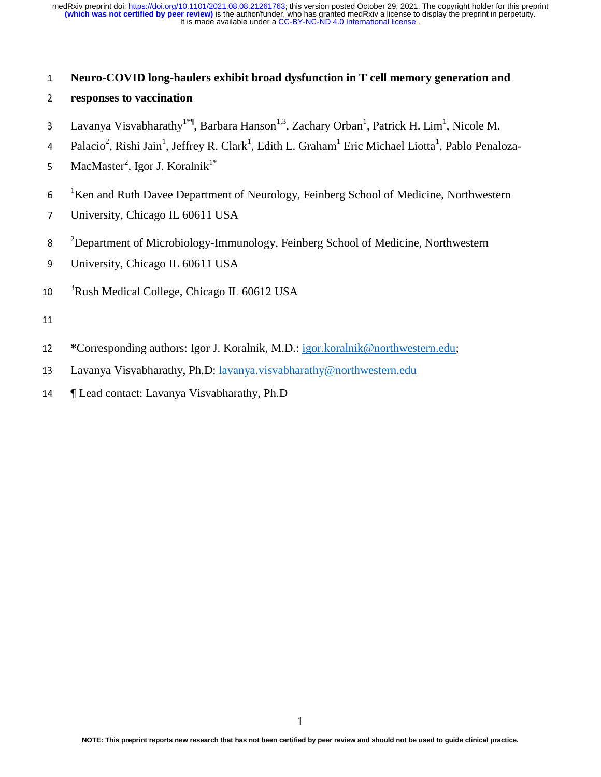### <sup>1</sup>**Neuro-COVID long-haulers exhibit broad dysfunction in T cell memory generation and**

- <sup>2</sup>**responses to vaccination**
- 3 Lavanya Visvabharathy<sup>1\*</sup>, Barbara Hanson<sup>1,3</sup>, Zachary Orban<sup>1</sup>, Patrick H. Lim<sup>1</sup>, Nicole M.
- 4 Palacio<sup>2</sup>, Rishi Jain<sup>1</sup>, Jeffrey R. Clark<sup>1</sup>, Edith L. Graham<sup>1</sup> Eric Michael Liotta<sup>1</sup>, Pablo Penaloza-
- 5 MacMaster<sup>2</sup>, Igor J. Koralnik<sup>1\*</sup>
- $1$ <sup>1</sup>Ken and Ruth Davee Department of Neurology, Feinberg School of Medicine, Northwestern
- <sup>7</sup>University, Chicago IL 60611 USA
- <sup>2</sup> Department of Microbiology-Immunology, Feinberg School of Medicine, Northwestern
- 9 University, Chicago IL 60611 USA
- 10 <sup>3</sup>Rush Medical College, Chicago IL 60612 USA
- 
- <sup>12</sup>**\***Corresponding authors: Igor J. Koralnik, M.D.: igor.koralnik@northwestern.edu;
- 13 Lavanya Visvabharathy, Ph.D: lavanya.visvabharathy@northwestern.edu
- <sup>14</sup>¶ Lead contact: Lavanya Visvabharathy, Ph.D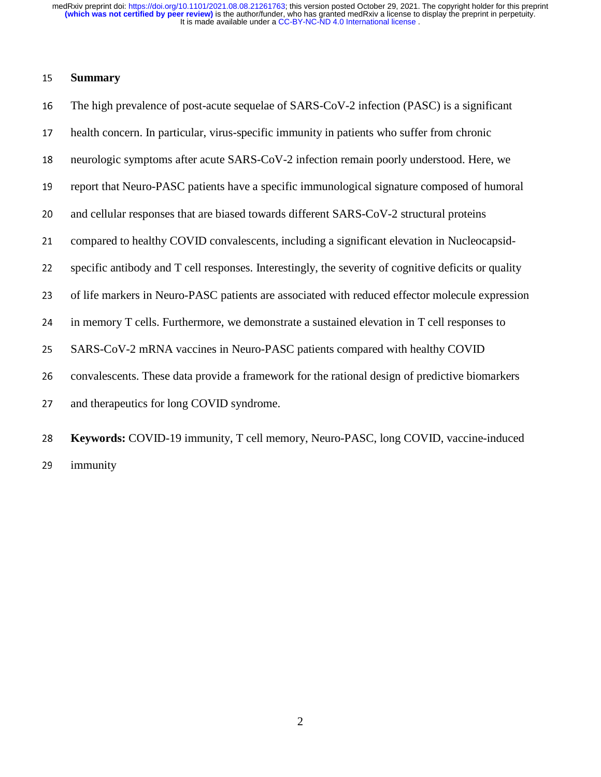## <sup>15</sup>**Summary**

| 16 | The high prevalence of post-acute sequelae of SARS-CoV-2 infection (PASC) is a significant           |
|----|------------------------------------------------------------------------------------------------------|
| 17 | health concern. In particular, virus-specific immunity in patients who suffer from chronic           |
| 18 | neurologic symptoms after acute SARS-CoV-2 infection remain poorly understood. Here, we              |
| 19 | report that Neuro-PASC patients have a specific immunological signature composed of humoral          |
| 20 | and cellular responses that are biased towards different SARS-CoV-2 structural proteins              |
| 21 | compared to healthy COVID convalescents, including a significant elevation in Nucleocapsid-          |
| 22 | specific antibody and T cell responses. Interestingly, the severity of cognitive deficits or quality |
| 23 | of life markers in Neuro-PASC patients are associated with reduced effector molecule expression      |
| 24 | in memory T cells. Furthermore, we demonstrate a sustained elevation in T cell responses to          |
| 25 | SARS-CoV-2 mRNA vaccines in Neuro-PASC patients compared with healthy COVID                          |
| 26 | convalescents. These data provide a framework for the rational design of predictive biomarkers       |
| 27 | and therapeutics for long COVID syndrome.                                                            |
| 28 | Keywords: COVID-19 immunity, T cell memory, Neuro-PASC, long COVID, vaccine-induced                  |

29 immunity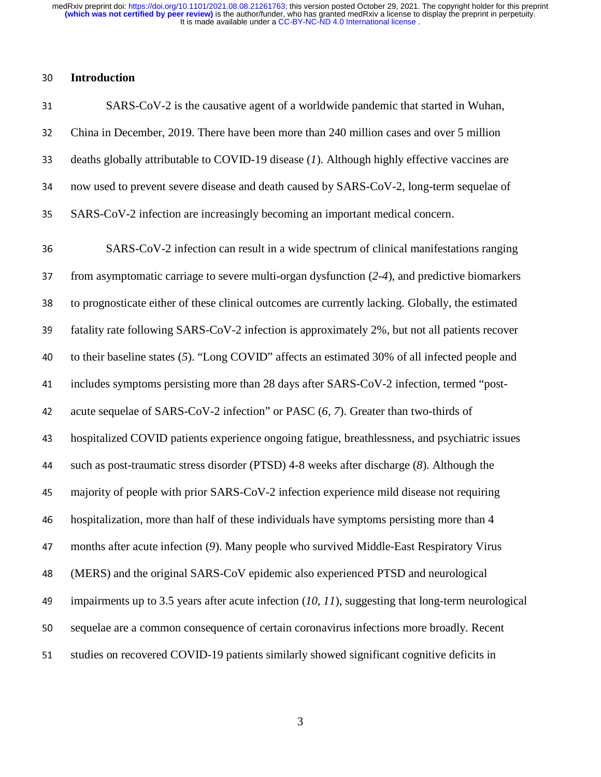It is made available under a [CC-BY-NC-ND 4.0 International license](http://creativecommons.org/licenses/by-nc-nd/4.0/) . **(which was not certified by peer review)** is the author/funder, who has granted medRxiv a license to display the preprint in perpetuity. medRxiv preprint doi: [https://doi.org/10.1101/2021.08.08.21261763;](https://doi.org/10.1101/2021.08.08.21261763) this version posted October 29, 2021. The copyright holder for this preprint

### <sup>30</sup>**Introduction**

| 31 | SARS-CoV-2 is the causative agent of a worldwide pandemic that started in Wuhan,             |
|----|----------------------------------------------------------------------------------------------|
| 32 | China in December, 2019. There have been more than 240 million cases and over 5 million      |
| 33 | deaths globally attributable to COVID-19 disease (1). Although highly effective vaccines are |
| 34 | now used to prevent severe disease and death caused by SARS-CoV-2, long-term sequelae of     |
| 35 | SARS-CoV-2 infection are increasingly becoming an important medical concern.                 |

<sup>36</sup>SARS-CoV-2 infection can result in a wide spectrum of clinical manifestations ranging <sup>37</sup>from asymptomatic carriage to severe multi-organ dysfunction (*2-4*), and predictive biomarkers 38 to prognosticate either of these clinical outcomes are currently lacking. Globally, the estimated 39 fatality rate following SARS-CoV-2 infection is approximately 2%, but not all patients recover 40 to their baseline states (5). "Long COVID" affects an estimated 30% of all infected people and 41 includes symptoms persisting more than 28 days after SARS-CoV-2 infection, termed "post-42 acute sequelae of SARS-CoV-2 infection" or PASC (6, 7). Greater than two-thirds of <sup>43</sup>hospitalized COVID patients experience ongoing fatigue, breathlessness, and psychiatric issues <sup>44</sup>such as post-traumatic stress disorder (PTSD) 4-8 weeks after discharge (*8*). Although the <sup>45</sup>majority of people with prior SARS-CoV-2 infection experience mild disease not requiring 46 hospitalization, more than half of these individuals have symptoms persisting more than 4 <sup>47</sup>months after acute infection (*9*). Many people who survived Middle-East Respiratory Virus <sup>48</sup>(MERS) and the original SARS-CoV epidemic also experienced PTSD and neurological 49 impairments up to 3.5 years after acute infection  $(10, 11)$ , suggesting that long-term neurological 50 sequelae are a common consequence of certain coronavirus infections more broadly. Recent 51 studies on recovered COVID-19 patients similarly showed significant cognitive deficits in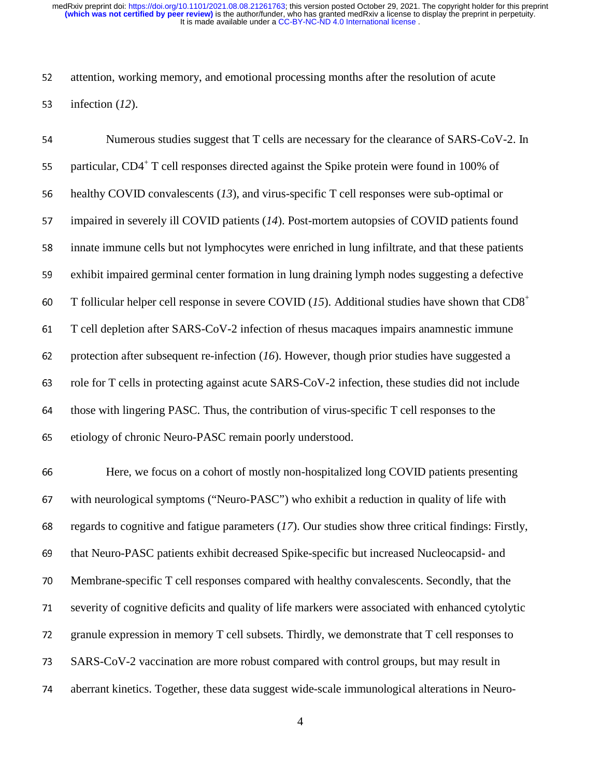It is made available under a [CC-BY-NC-ND 4.0 International license](http://creativecommons.org/licenses/by-nc-nd/4.0/) . **(which was not certified by peer review)** is the author/funder, who has granted medRxiv a license to display the preprint in perpetuity. medRxiv preprint doi: [https://doi.org/10.1101/2021.08.08.21261763;](https://doi.org/10.1101/2021.08.08.21261763) this version posted October 29, 2021. The copyright holder for this preprint

52 attention, working memory, and emotional processing months after the resolution of acute 53 infection (12).

54 Numerous studies suggest that T cells are necessary for the clearance of SARS-CoV-2. In 55 particular,  $CD4^+$  T cell responses directed against the Spike protein were found in 100% of 56 healthy COVID convalescents (13), and virus-specific T cell responses were sub-optimal or 57 impaired in severely ill COVID patients (14). Post-mortem autopsies of COVID patients found <sup>58</sup>innate immune cells but not lymphocytes were enriched in lung infiltrate, and that these patients 59 exhibit impaired germinal center formation in lung draining lymph nodes suggesting a defective 60 T follicular helper cell response in severe COVID (15). Additional studies have shown that  $CD8<sup>+</sup>$ 61 T cell depletion after SARS-CoV-2 infection of rhesus macaques impairs anamnestic immune 62 protection after subsequent re-infection (*16*). However, though prior studies have suggested a 63 role for T cells in protecting against acute SARS-CoV-2 infection, these studies did not include 64 those with lingering PASC. Thus, the contribution of virus-specific T cell responses to the 65 etiology of chronic Neuro-PASC remain poorly understood. 66 Here, we focus on a cohort of mostly non-hospitalized long COVID patients presenting 67 with neurological symptoms ("Neuro-PASC") who exhibit a reduction in quality of life with <sup>68</sup>regards to cognitive and fatigue parameters (*17*). Our studies show three critical findings: Firstly, 69 that Neuro-PASC patients exhibit decreased Spike-specific but increased Nucleocapsid- and

<sup>70</sup>Membrane-specific T cell responses compared with healthy convalescents. Secondly, that the <sup>71</sup>severity of cognitive deficits and quality of life markers were associated with enhanced cytolytic 72 granule expression in memory T cell subsets. Thirdly, we demonstrate that T cell responses to

73 SARS-CoV-2 vaccination are more robust compared with control groups, but may result in

74 aberrant kinetics. Together, these data suggest wide-scale immunological alterations in Neuro-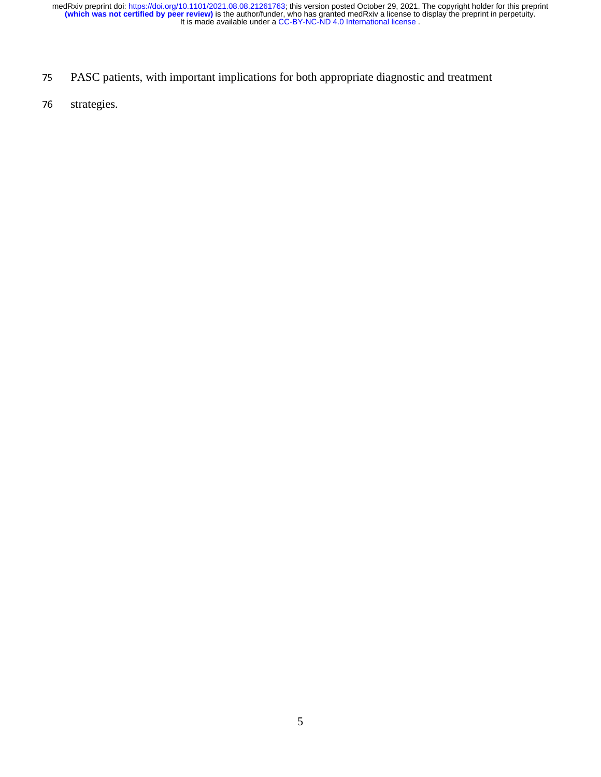- 75 PASC patients, with important implications for both appropriate diagnostic and treatment
- 76 strategies.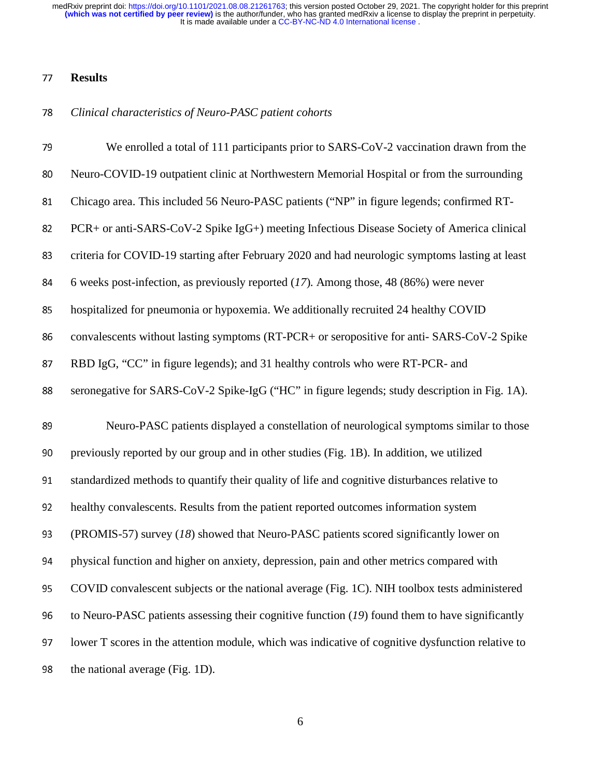## **Results**

## *Clinical characteristics of Neuro-PASC patient cohorts*

| 79 | We enrolled a total of 111 participants prior to SARS-CoV-2 vaccination drawn from the            |
|----|---------------------------------------------------------------------------------------------------|
| 80 | Neuro-COVID-19 outpatient clinic at Northwestern Memorial Hospital or from the surrounding        |
| 81 | Chicago area. This included 56 Neuro-PASC patients ("NP" in figure legends; confirmed RT-         |
| 82 | PCR+ or anti-SARS-CoV-2 Spike IgG+) meeting Infectious Disease Society of America clinical        |
| 83 | criteria for COVID-19 starting after February 2020 and had neurologic symptoms lasting at least   |
| 84 | 6 weeks post-infection, as previously reported $(17)$ . Among those, 48 (86%) were never          |
| 85 | hospitalized for pneumonia or hypoxemia. We additionally recruited 24 healthy COVID               |
| 86 | convalescents without lasting symptoms (RT-PCR+ or seropositive for anti- SARS-CoV-2 Spike        |
| 87 | RBD IgG, "CC" in figure legends); and 31 healthy controls who were RT-PCR- and                    |
| 88 | seronegative for SARS-CoV-2 Spike-IgG ("HC" in figure legends; study description in Fig. 1A).     |
|    |                                                                                                   |
| 89 | Neuro-PASC patients displayed a constellation of neurological symptoms similar to those           |
| 90 | previously reported by our group and in other studies (Fig. 1B). In addition, we utilized         |
| 91 | standardized methods to quantify their quality of life and cognitive disturbances relative to     |
| 92 | healthy convalescents. Results from the patient reported outcomes information system              |
| 93 | (PROMIS-57) survey (18) showed that Neuro-PASC patients scored significantly lower on             |
| 94 | physical function and higher on anxiety, depression, pain and other metrics compared with         |
| 95 | COVID convalescent subjects or the national average (Fig. 1C). NIH toolbox tests administered     |
| 96 | to Neuro-PASC patients assessing their cognitive function $(19)$ found them to have significantly |
| 97 | lower T scores in the attention module, which was indicative of cognitive dysfunction relative to |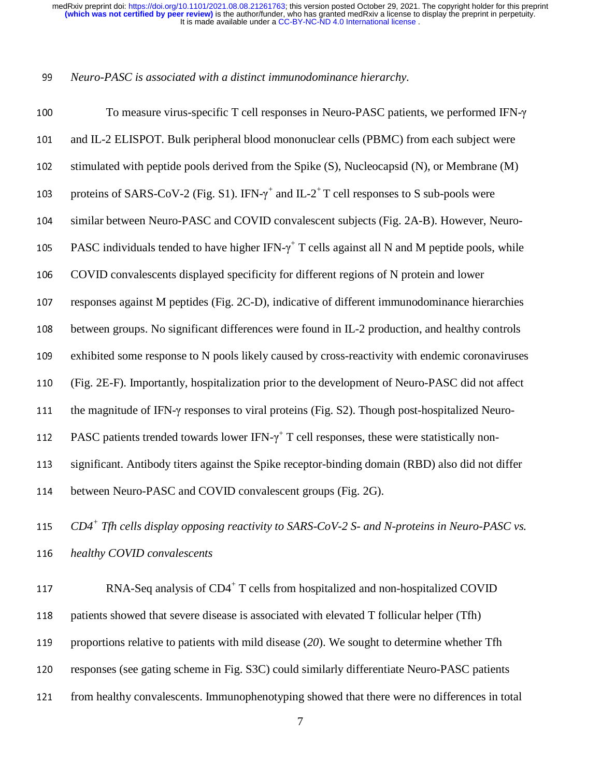#### *Neuro-PASC is associated with a distinct immunodominance hierarchy.*

| 100 | To measure virus-specific T cell responses in Neuro-PASC patients, we performed IFN-y                        |
|-----|--------------------------------------------------------------------------------------------------------------|
| 101 | and IL-2 ELISPOT. Bulk peripheral blood mononuclear cells (PBMC) from each subject were                      |
| 102 | stimulated with peptide pools derived from the Spike (S), Nucleocapsid (N), or Membrane (M)                  |
| 103 | proteins of SARS-CoV-2 (Fig. S1). IFN- $\gamma^+$ and IL-2 <sup>+</sup> T cell responses to S sub-pools were |
| 104 | similar between Neuro-PASC and COVID convalescent subjects (Fig. 2A-B). However, Neuro-                      |
| 105 | PASC individuals tended to have higher IFN- $\gamma^+$ T cells against all N and M peptide pools, while      |
| 106 | COVID convalescents displayed specificity for different regions of N protein and lower                       |
| 107 | responses against M peptides (Fig. 2C-D), indicative of different immunodominance hierarchies                |
| 108 | between groups. No significant differences were found in IL-2 production, and healthy controls               |
| 109 | exhibited some response to N pools likely caused by cross-reactivity with endemic coronaviruses              |
| 110 | (Fig. 2E-F). Importantly, hospitalization prior to the development of Neuro-PASC did not affect              |
| 111 | the magnitude of IFN- $\gamma$ responses to viral proteins (Fig. S2). Though post-hospitalized Neuro-        |
| 112 | PASC patients trended towards lower IFN- $\gamma^+$ T cell responses, these were statistically non-          |
| 113 | significant. Antibody titers against the Spike receptor-binding domain (RBD) also did not differ             |
| 114 | between Neuro-PASC and COVID convalescent groups (Fig. 2G).                                                  |
| 115 | $CD4^+$ Tfh cells display opposing reactivity to SARS-CoV-2 S- and N-proteins in Neuro-PASC vs.              |
| 116 | healthy COVID convalescents                                                                                  |
|     | RNA-Seq analysis of CD4 <sup>+</sup> T cells from hospitalized and non-hospitalized COVID                    |
| 117 |                                                                                                              |

118 patients showed that severe disease is associated with elevated T follicular helper (Tfh) 119 proportions relative to patients with mild disease (20). We sought to determine whether Tfh 120 responses (see gating scheme in Fig. S3C) could similarly differentiate Neuro-PASC patients 121 from healthy convalescents. Immunophenotyping showed that there were no differences in total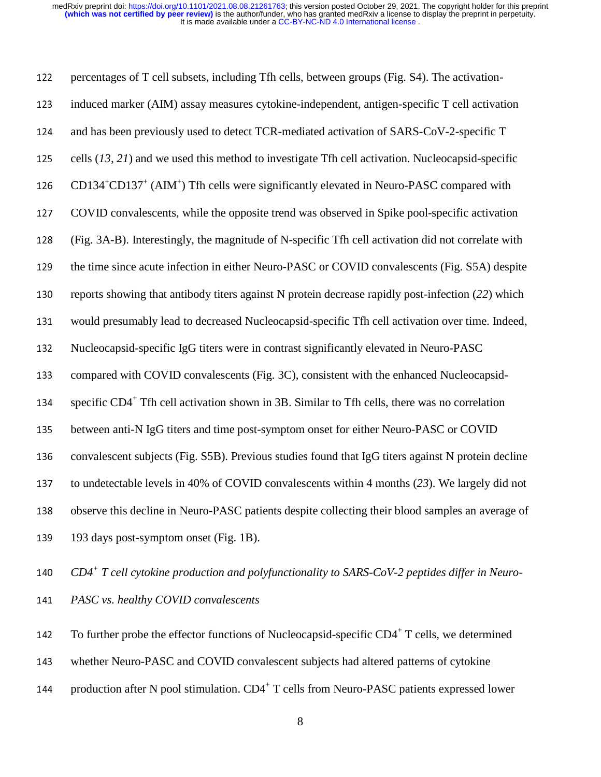It is made available under a [CC-BY-NC-ND 4.0 International license](http://creativecommons.org/licenses/by-nc-nd/4.0/) . **(which was not certified by peer review)** is the author/funder, who has granted medRxiv a license to display the preprint in perpetuity. medRxiv preprint doi: [https://doi.org/10.1101/2021.08.08.21261763;](https://doi.org/10.1101/2021.08.08.21261763) this version posted October 29, 2021. The copyright holder for this preprint

122 percentages of T cell subsets, including Tfh cells, between groups (Fig. S4). The activation-<sup>123</sup>induced marker (AIM) assay measures cytokine-independent, antigen-specific T cell activation 124 and has been previously used to detect TCR-mediated activation of SARS-CoV-2-specific T 125 cells  $(13, 21)$  and we used this method to investigate Tfh cell activation. Nucleocapsid-specific 126  $CD134<sup>+</sup>CD137<sup>+</sup> (AM<sup>+</sup>)$  Tfh cells were significantly elevated in Neuro-PASC compared with <sup>127</sup>COVID convalescents, while the opposite trend was observed in Spike pool-specific activation <sup>128</sup>(Fig. 3A-B). Interestingly, the magnitude of N-specific Tfh cell activation did not correlate with 129 the time since acute infection in either Neuro-PASC or COVID convalescents (Fig. S5A) despite 130 reports showing that antibody titers against N protein decrease rapidly post-infection (22) which 131 would presumably lead to decreased Nucleocapsid-specific Tfh cell activation over time. Indeed, 132 Nucleocapsid-specific IgG titers were in contrast significantly elevated in Neuro-PASC 133 compared with COVID convalescents (Fig. 3C), consistent with the enhanced Nucleocapsidspecific  $CD4^+$  Tfh cell activation shown in 3B. Similar to Tfh cells, there was no correlation 135 between anti-N IgG titers and time post-symptom onset for either Neuro-PASC or COVID 136 convalescent subjects (Fig. S5B). Previous studies found that IgG titers against N protein decline 137 to undetectable levels in 40% of COVID convalescents within 4 months (23). We largely did not 138 observe this decline in Neuro-PASC patients despite collecting their blood samples an average of 139 193 days post-symptom onset (Fig. 1B).

140 *CD4<sup>+</sup> T cell cytokine production and polyfunctionality to SARS-CoV-2 peptides differ in Neuro-*<sup>141</sup>*PASC vs. healthy COVID convalescents* 

142 To further probe the effector functions of Nucleocapsid-specific  $CD4^+$  T cells, we determined

143 whether Neuro-PASC and COVID convalescent subjects had altered patterns of cytokine

144 production after N pool stimulation.  $CD4^+$  T cells from Neuro-PASC patients expressed lower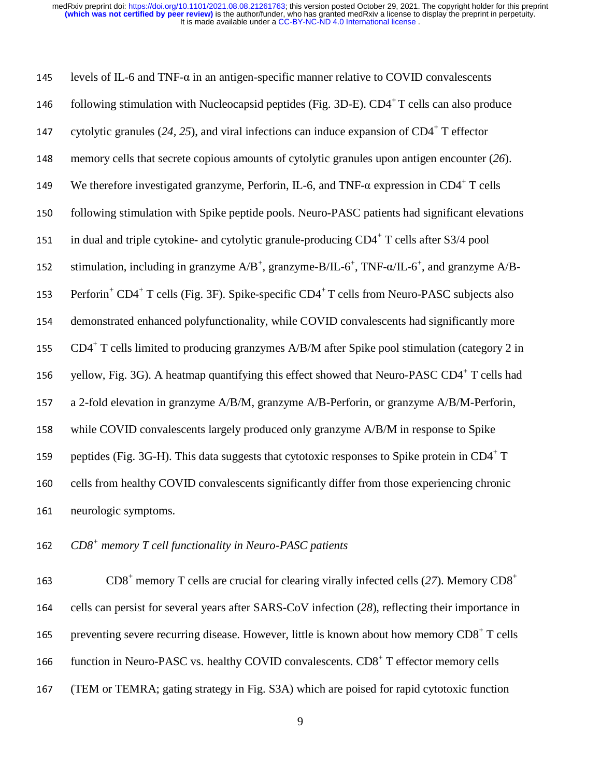| 145 | levels of IL-6 and TNF- $\alpha$ in an antigen-specific manner relative to COVID convalescents                                   |
|-----|----------------------------------------------------------------------------------------------------------------------------------|
| 146 | following stimulation with Nucleocapsid peptides (Fig. 3D-E). CD4+T cells can also produce                                       |
| 147 | cytolytic granules (24, 25), and viral infections can induce expansion of $CD4^+$ T effector                                     |
| 148 | memory cells that secrete copious amounts of cytolytic granules upon antigen encounter $(26)$ .                                  |
| 149 | We therefore investigated granzyme, Perforin, IL-6, and TNF- $\alpha$ expression in CD4 <sup>+</sup> T cells                     |
| 150 | following stimulation with Spike peptide pools. Neuro-PASC patients had significant elevations                                   |
| 151 | in dual and triple cytokine- and cytolytic granule-producing CD4 <sup>+</sup> T cells after S3/4 pool                            |
| 152 | stimulation, including in granzyme $A/B^+$ , granzyme-B/IL-6 <sup>+</sup> , TNF- $\alpha$ /IL-6 <sup>+</sup> , and granzyme A/B- |
| 153 | Perforin <sup>+</sup> CD4 <sup>+</sup> T cells (Fig. 3F). Spike-specific CD4 <sup>+</sup> T cells from Neuro-PASC subjects also  |
| 154 | demonstrated enhanced polyfunctionality, while COVID convalescents had significantly more                                        |
| 155 | CD4 <sup>+</sup> T cells limited to producing granzymes A/B/M after Spike pool stimulation (category 2 in                        |
| 156 | yellow, Fig. 3G). A heatmap quantifying this effect showed that Neuro-PASC CD4 <sup>+</sup> T cells had                          |
| 157 | a 2-fold elevation in granzyme A/B/M, granzyme A/B-Perforin, or granzyme A/B/M-Perforin,                                         |
| 158 | while COVID convalescents largely produced only granzyme A/B/M in response to Spike                                              |
| 159 | peptides (Fig. 3G-H). This data suggests that cytotoxic responses to Spike protein in CD4 <sup>+</sup> T                         |
| 160 | cells from healthy COVID convalescents significantly differ from those experiencing chronic                                      |
| 161 | neurologic symptoms.                                                                                                             |

*CD8<sup>+</sup> memory T cell functionality in Neuro-PASC patients* 

163 CD8<sup>+</sup> memory T cells are crucial for clearing virally infected cells (27). Memory  $CD8^+$ 164 cells can persist for several years after SARS-CoV infection (28), reflecting their importance in 165 preventing severe recurring disease. However, little is known about how memory  $CD8<sup>+</sup>$  T cells 166 function in Neuro-PASC vs. healthy COVID convalescents. CD8<sup>+</sup> T effector memory cells (TEM or TEMRA; gating strategy in Fig. S3A) which are poised for rapid cytotoxic function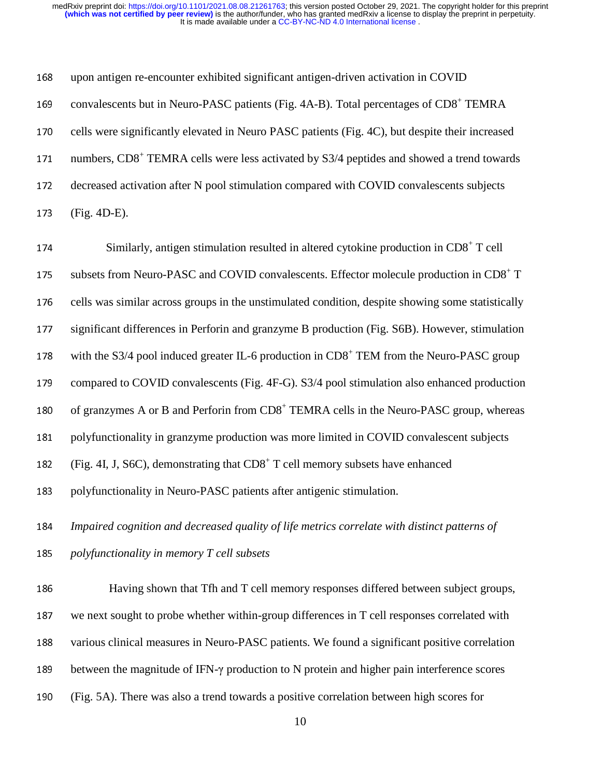168 upon antigen re-encounter exhibited significant antigen-driven activation in COVID 169 convalescents but in Neuro-PASC patients (Fig. 4A-B). Total percentages of CD8<sup>+</sup> TEMRA 170 cells were significantly elevated in Neuro PASC patients (Fig. 4C), but despite their increased numbers, CD8<sup>+</sup> TEMRA cells were less activated by S3/4 peptides and showed a trend towards 172 decreased activation after N pool stimulation compared with COVID convalescents subjects <sup>173</sup>(Fig. 4D-E).

 $174$  Similarly, antigen stimulation resulted in altered cytokine production in  $CD8<sup>+</sup>$  T cell subsets from Neuro-PASC and COVID convalescents. Effector molecule production in CD8<sup>+</sup> T 176 cells was similar across groups in the unstimulated condition, despite showing some statistically 177 significant differences in Perforin and granzyme B production (Fig. S6B). However, stimulation 178 with the S3/4 pool induced greater IL-6 production in  $CD8<sup>+</sup>$  TEM from the Neuro-PASC group 179 compared to COVID convalescents (Fig. 4F-G). S3/4 pool stimulation also enhanced production 180 of granzymes A or B and Perforin from  $CD8<sup>+</sup> TEMRA$  cells in the Neuro-PASC group, whereas 181 polyfunctionality in granzyme production was more limited in COVID convalescent subjects 182 (Fig. 4I, J, S6C), demonstrating that  $CD8<sup>+</sup>$  T cell memory subsets have enhanced 183 polyfunctionality in Neuro-PASC patients after antigenic stimulation. <sup>184</sup>*Impaired cognition and decreased quality of life metrics correlate with distinct patterns of*  <sup>185</sup>*polyfunctionality in memory T cell subsets*  186 Having shown that Tfh and T cell memory responses differed between subject groups, 187 we next sought to probe whether within-group differences in T cell responses correlated with

188 various clinical measures in Neuro-PASC patients. We found a significant positive correlation

- 189 between the magnitude of IFN-γ production to N protein and higher pain interference scores
- <sup>190</sup>(Fig. 5A). There was also a trend towards a positive correlation between high scores for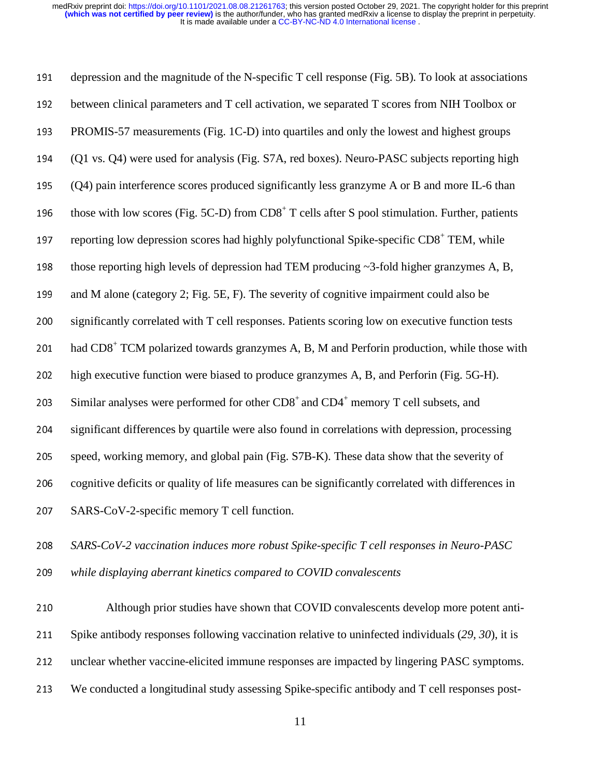It is made available under a [CC-BY-NC-ND 4.0 International license](http://creativecommons.org/licenses/by-nc-nd/4.0/) . **(which was not certified by peer review)** is the author/funder, who has granted medRxiv a license to display the preprint in perpetuity. medRxiv preprint doi: [https://doi.org/10.1101/2021.08.08.21261763;](https://doi.org/10.1101/2021.08.08.21261763) this version posted October 29, 2021. The copyright holder for this preprint

191 depression and the magnitude of the N-specific T cell response (Fig. 5B). To look at associations 192 between clinical parameters and T cell activation, we separated T scores from NIH Toolbox or <sup>193</sup>PROMIS-57 measurements (Fig. 1C-D) into quartiles and only the lowest and highest groups <sup>194</sup>(Q1 vs. Q4) were used for analysis (Fig. S7A, red boxes). Neuro-PASC subjects reporting high <sup>195</sup>(Q4) pain interference scores produced significantly less granzyme A or B and more IL-6 than 196 those with low scores (Fig. 5C-D) from  $CD8<sup>+</sup>$  T cells after S pool stimulation. Further, patients 197 reporting low depression scores had highly polyfunctional Spike-specific  $CD8<sup>+</sup>$  TEM, while 198 those reporting high levels of depression had TEM producing  $\sim$ 3-fold higher granzymes A, B, 199 and M alone (category 2; Fig. 5E, F). The severity of cognitive impairment could also be 200 significantly correlated with T cell responses. Patients scoring low on executive function tests 201 had  $CDS<sup>+</sup> TCM polarized towards granzymes A, B, M and Perform production, while those with$ 202 high executive function were biased to produce granzymes A, B, and Perforin (Fig. 5G-H). 203 Similar analyses were performed for other  $CDS<sup>+</sup>$  and  $CD4<sup>+</sup>$  memory T cell subsets, and 204 significant differences by quartile were also found in correlations with depression, processing 205 speed, working memory, and global pain (Fig. S7B-K). These data show that the severity of 206 cognitive deficits or quality of life measures can be significantly correlated with differences in 207 SARS-CoV-2-specific memory T cell function.

<sup>208</sup>*SARS-CoV-2 vaccination induces more robust Spike-specific T cell responses in Neuro-PASC*  <sup>209</sup>*while displaying aberrant kinetics compared to COVID convalescents*

Although prior studies have shown that COVID convalescents develop more potent anti-Spike antibody responses following vaccination relative to uninfected individuals (*29, 30*), it is 212 unclear whether vaccine-elicited immune responses are impacted by lingering PASC symptoms. We conducted a longitudinal study assessing Spike-specific antibody and T cell responses post-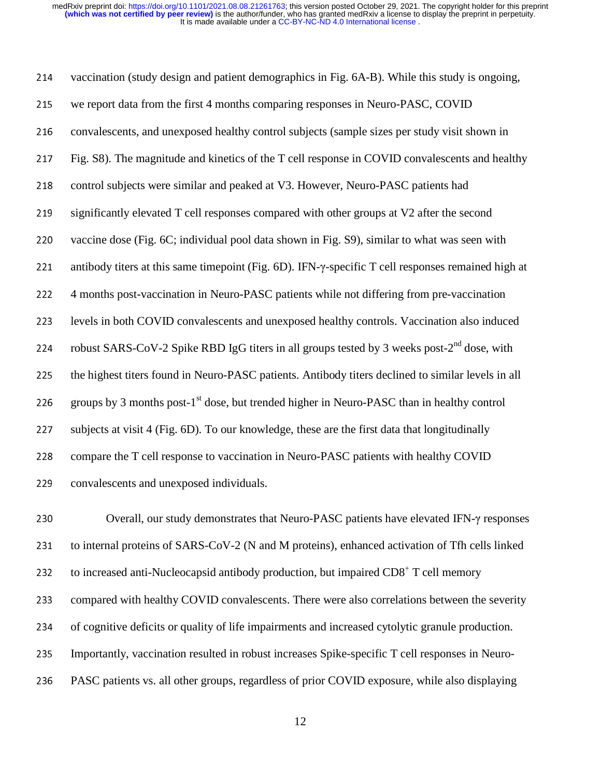It is made available under a [CC-BY-NC-ND 4.0 International license](http://creativecommons.org/licenses/by-nc-nd/4.0/) . **(which was not certified by peer review)** is the author/funder, who has granted medRxiv a license to display the preprint in perpetuity. medRxiv preprint doi: [https://doi.org/10.1101/2021.08.08.21261763;](https://doi.org/10.1101/2021.08.08.21261763) this version posted October 29, 2021. The copyright holder for this preprint

214 vaccination (study design and patient demographics in Fig. 6A-B). While this study is ongoing, 215 we report data from the first 4 months comparing responses in Neuro-PASC, COVID 216 convalescents, and unexposed healthy control subjects (sample sizes per study visit shown in <sup>217</sup>Fig. S8). The magnitude and kinetics of the T cell response in COVID convalescents and healthy 218 control subjects were similar and peaked at V3. However, Neuro-PASC patients had 219 significantly elevated T cell responses compared with other groups at V2 after the second 220 vaccine dose (Fig. 6C; individual pool data shown in Fig. S9), similar to what was seen with <sup>221</sup>antibody titers at this same timepoint (Fig. 6D). IFN-γ-specific T cell responses remained high at <sup>222</sup>4 months post-vaccination in Neuro-PASC patients while not differing from pre-vaccination 223 levels in both COVID convalescents and unexposed healthy controls. Vaccination also induced 224 robust SARS-CoV-2 Spike RBD IgG titers in all groups tested by 3 weeks post- $2^{nd}$  dose, with 225 the highest titers found in Neuro-PASC patients. Antibody titers declined to similar levels in all 226 groups by 3 months post-1<sup>st</sup> dose, but trended higher in Neuro-PASC than in healthy control 227 subjects at visit 4 (Fig. 6D). To our knowledge, these are the first data that longitudinally 228 compare the T cell response to vaccination in Neuro-PASC patients with healthy COVID 229 convalescents and unexposed individuals.

<sup>230</sup>Overall, our study demonstrates that Neuro-PASC patients have elevated IFN-γ responses 231 to internal proteins of SARS-CoV-2 (N and M proteins), enhanced activation of Tfh cells linked to increased anti-Nucleocapsid antibody production, but impaired  $CDS<sup>+</sup> T$  cell memory 233 compared with healthy COVID convalescents. There were also correlations between the severity 234 of cognitive deficits or quality of life impairments and increased cytolytic granule production. 235 Importantly, vaccination resulted in robust increases Spike-specific T cell responses in Neuro-236 PASC patients vs. all other groups, regardless of prior COVID exposure, while also displaying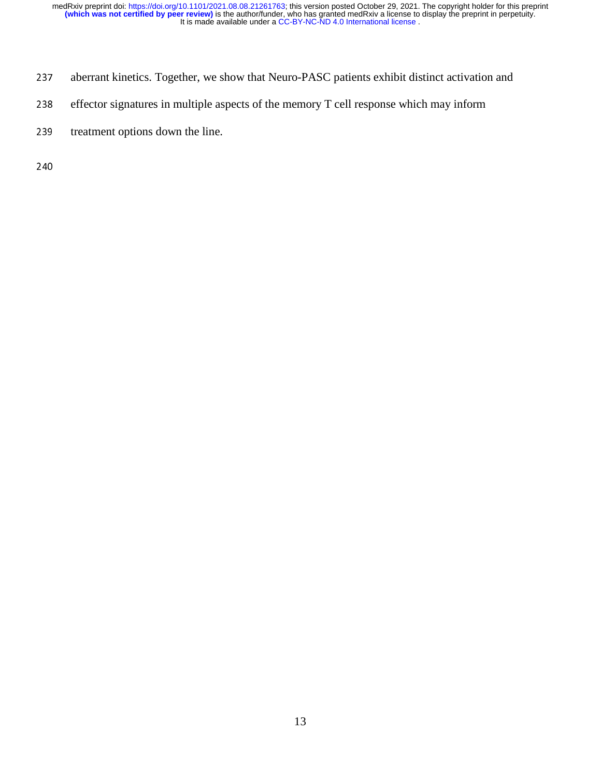- 237 aberrant kinetics. Together, we show that Neuro-PASC patients exhibit distinct activation and
- 238 effector signatures in multiple aspects of the memory T cell response which may inform
- 239 treatment options down the line.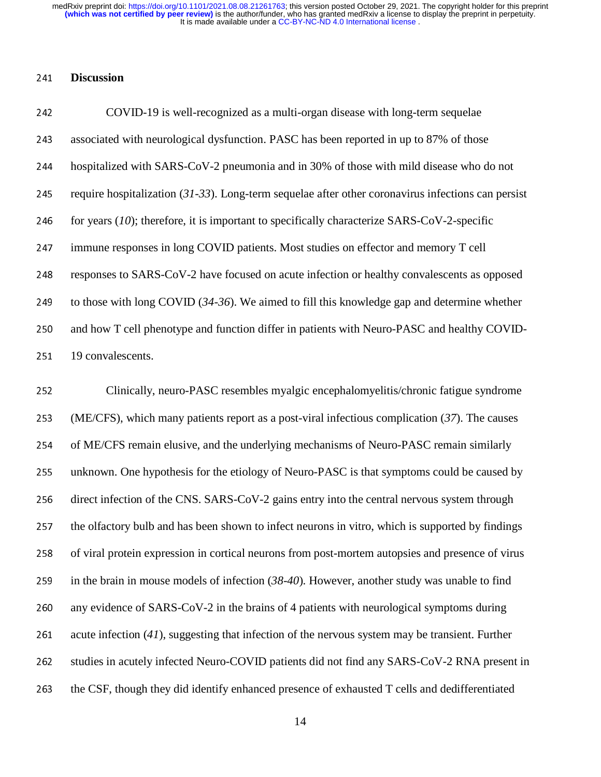### <sup>241</sup>**Discussion**

| 242 | COVID-19 is well-recognized as a multi-organ disease with long-term sequelae                          |
|-----|-------------------------------------------------------------------------------------------------------|
| 243 | associated with neurological dysfunction. PASC has been reported in up to 87% of those                |
| 244 | hospitalized with SARS-CoV-2 pneumonia and in 30% of those with mild disease who do not               |
| 245 | require hospitalization $(31-33)$ . Long-term sequelae after other coronavirus infections can persist |
| 246 | for years $(10)$ ; therefore, it is important to specifically characterize SARS-CoV-2-specific        |
| 247 | immune responses in long COVID patients. Most studies on effector and memory T cell                   |
| 248 | responses to SARS-CoV-2 have focused on acute infection or healthy convalescents as opposed           |
| 249 | to those with long COVID $(34-36)$ . We aimed to fill this knowledge gap and determine whether        |
| 250 | and how T cell phenotype and function differ in patients with Neuro-PASC and healthy COVID-           |
| 251 | 19 convalescents.                                                                                     |

<sup>252</sup>Clinically, neuro-PASC resembles myalgic encephalomyelitis/chronic fatigue syndrome <sup>253</sup>(ME/CFS), which many patients report as a post-viral infectious complication (*37*). The causes 254 of ME/CFS remain elusive, and the underlying mechanisms of Neuro-PASC remain similarly 255 unknown. One hypothesis for the etiology of Neuro-PASC is that symptoms could be caused by 256 direct infection of the CNS. SARS-CoV-2 gains entry into the central nervous system through 257 the olfactory bulb and has been shown to infect neurons in vitro, which is supported by findings 258 of viral protein expression in cortical neurons from post-mortem autopsies and presence of virus 259 in the brain in mouse models of infection  $(38-40)$ . However, another study was unable to find 260 any evidence of SARS-CoV-2 in the brains of 4 patients with neurological symptoms during 261 acute infection  $(41)$ , suggesting that infection of the nervous system may be transient. Further 262 studies in acutely infected Neuro-COVID patients did not find any SARS-CoV-2 RNA present in 263 the CSF, though they did identify enhanced presence of exhausted  $T$  cells and dedifferentiated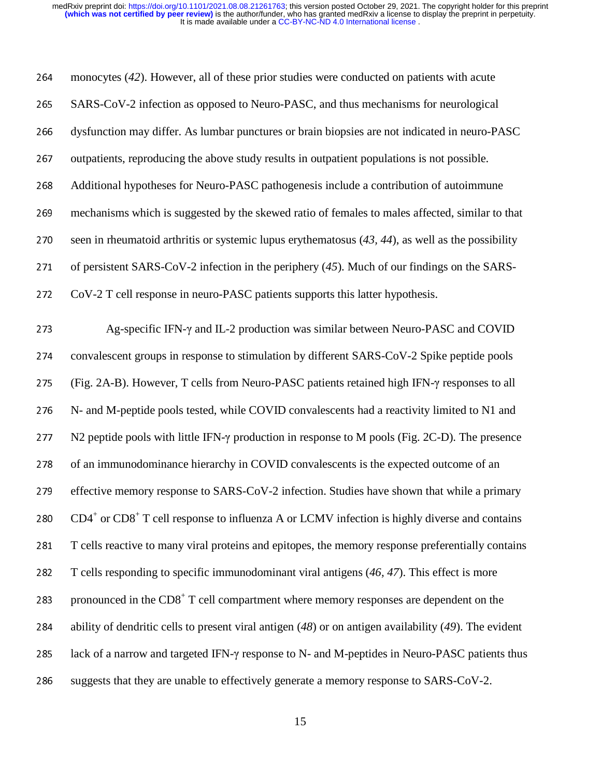| 264 | monocytes (42). However, all of these prior studies were conducted on patients with acute                  |
|-----|------------------------------------------------------------------------------------------------------------|
| 265 | SARS-CoV-2 infection as opposed to Neuro-PASC, and thus mechanisms for neurological                        |
| 266 | dysfunction may differ. As lumbar punctures or brain biopsies are not indicated in neuro-PASC              |
| 267 | outpatients, reproducing the above study results in outpatient populations is not possible.                |
| 268 | Additional hypotheses for Neuro-PASC pathogenesis include a contribution of autoimmune                     |
| 269 | mechanisms which is suggested by the skewed ratio of females to males affected, similar to that            |
| 270 | seen in rheumatoid arthritis or systemic lupus erythematosus $(43, 44)$ , as well as the possibility       |
| 271 | of persistent SARS-CoV-2 infection in the periphery $(45)$ . Much of our findings on the SARS-             |
| 272 | CoV-2 T cell response in neuro-PASC patients supports this latter hypothesis.                              |
| 273 | Ag-specific IFN- $\gamma$ and IL-2 production was similar between Neuro-PASC and COVID                     |
| 274 | convalescent groups in response to stimulation by different SARS-CoV-2 Spike peptide pools                 |
| 275 | (Fig. 2A-B). However, T cells from Neuro-PASC patients retained high IFN-y responses to all                |
| 276 | N- and M-peptide pools tested, while COVID convalescents had a reactivity limited to N1 and                |
| 277 | N2 peptide pools with little IFN- $\gamma$ production in response to M pools (Fig. 2C-D). The presence     |
| 278 | of an immunodominance hierarchy in COVID convalescents is the expected outcome of an                       |
| 279 | effective memory response to SARS-CoV-2 infection. Studies have shown that while a primary                 |
| 280 | $CD4^+$ or $CD8^+$ T cell response to influenza A or LCMV infection is highly diverse and contains         |
| 281 | T cells reactive to many viral proteins and epitopes, the memory response preferentially contains          |
| 282 | T cells responding to specific immunodominant viral antigens (46, 47). This effect is more                 |
| 283 | pronounced in the $CD8+ T$ cell compartment where memory responses are dependent on the                    |
| 284 | ability of dendritic cells to present viral antigen $(48)$ or on antigen availability $(49)$ . The evident |
| 285 | lack of a narrow and targeted IFN- $\gamma$ response to N- and M-peptides in Neuro-PASC patients thus      |
| 286 | suggests that they are unable to effectively generate a memory response to SARS-CoV-2.                     |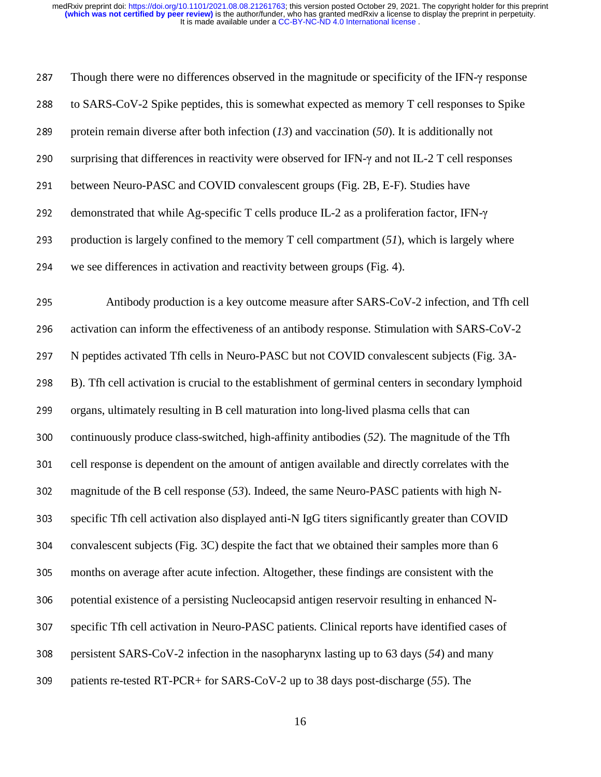| 287 | Though there were no differences observed in the magnitude or specificity of the IFN- $\gamma$ response |
|-----|---------------------------------------------------------------------------------------------------------|
| 288 | to SARS-CoV-2 Spike peptides, this is somewhat expected as memory T cell responses to Spike             |
| 289 | protein remain diverse after both infection $(13)$ and vaccination $(50)$ . It is additionally not      |
| 290 | surprising that differences in reactivity were observed for IFN- $\gamma$ and not IL-2 T cell responses |
| 291 | between Neuro-PASC and COVID convalescent groups (Fig. 2B, E-F). Studies have                           |
| 292 | demonstrated that while Ag-specific T cells produce IL-2 as a proliferation factor, IFN-y               |
| 293 | production is largely confined to the memory $T$ cell compartment $(51)$ , which is largely where       |
| 294 | we see differences in activation and reactivity between groups (Fig. 4).                                |
| 295 | Antibody production is a key outcome measure after SARS-CoV-2 infection, and Tfh cell                   |
| 296 | activation can inform the effectiveness of an antibody response. Stimulation with SARS-CoV-2            |
|     |                                                                                                         |
| 297 | N peptides activated Tfh cells in Neuro-PASC but not COVID convalescent subjects (Fig. 3A-              |
| 298 | B). Tfh cell activation is crucial to the establishment of germinal centers in secondary lymphoid       |
| 299 | organs, ultimately resulting in B cell maturation into long-lived plasma cells that can                 |
| 300 | continuously produce class-switched, high-affinity antibodies (52). The magnitude of the Tfh            |
| 301 | cell response is dependent on the amount of antigen available and directly correlates with the          |
| 302 | magnitude of the B cell response $(53)$ . Indeed, the same Neuro-PASC patients with high N-             |
| 303 | specific Tfh cell activation also displayed anti-N IgG titers significantly greater than COVID          |
| 304 | convalescent subjects (Fig. 3C) despite the fact that we obtained their samples more than 6             |
| 305 | months on average after acute infection. Altogether, these findings are consistent with the             |
| 306 | potential existence of a persisting Nucleocapsid antigen reservoir resulting in enhanced N-             |
| 307 | specific Tfh cell activation in Neuro-PASC patients. Clinical reports have identified cases of          |
| 308 | persistent SARS-CoV-2 infection in the nasopharynx lasting up to 63 days (54) and many                  |
| 309 | patients re-tested RT-PCR+ for SARS-CoV-2 up to 38 days post-discharge (55). The                        |
|     |                                                                                                         |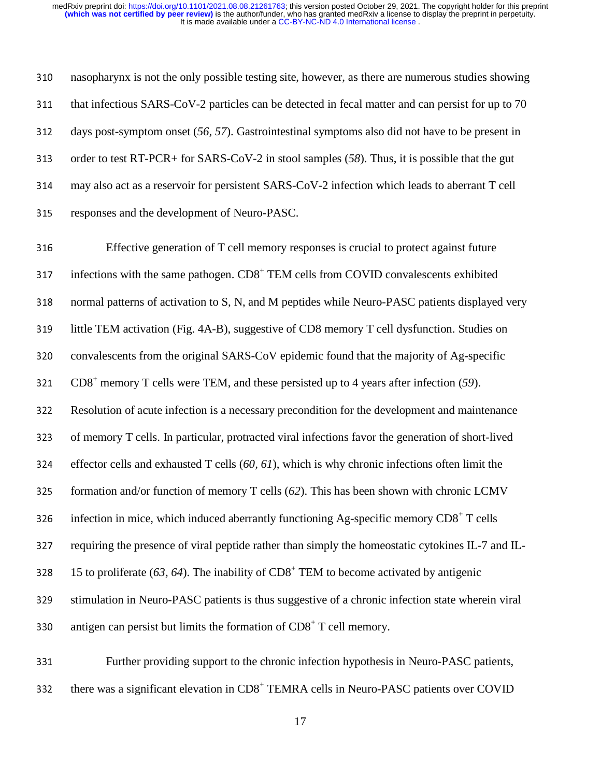310 nasopharynx is not the only possible testing site, however, as there are numerous studies showing  $311$  that infectious SARS-CoV-2 particles can be detected in fecal matter and can persist for up to 70 <sup>312</sup>days post-symptom onset (*56, 57*). Gastrointestinal symptoms also did not have to be present in 313 order to test RT-PCR+ for SARS-CoV-2 in stool samples (58). Thus, it is possible that the gut <sup>314</sup>may also act as a reservoir for persistent SARS-CoV-2 infection which leads to aberrant T cell 315 responses and the development of Neuro-PASC.

316 Effective generation of T cell memory responses is crucial to protect against future 317 infections with the same pathogen. CD8<sup>+</sup> TEM cells from COVID convalescents exhibited 318 normal patterns of activation to S, N, and M peptides while Neuro-PASC patients displayed very 319 little TEM activation (Fig. 4A-B), suggestive of CD8 memory T cell dysfunction. Studies on 320 convalescents from the original SARS-CoV epidemic found that the majority of Ag-specific CD8<sup>+</sup> <sup>321</sup>memory T cells were TEM, and these persisted up to 4 years after infection (*59*). <sup>322</sup>Resolution of acute infection is a necessary precondition for the development and maintenance 323 of memory T cells. In particular, protracted viral infections favor the generation of short-lived <sup>324</sup>effector cells and exhausted T cells (*60, 61*), which is why chronic infections often limit the 325 formation and/or function of memory T cells  $(62)$ . This has been shown with chronic LCMV  $\dot{\rm 126}$  infection in mice, which induced aberrantly functioning Ag-specific memory CD8<sup>+</sup> T cells 327 requiring the presence of viral peptide rather than simply the homeostatic cytokines IL-7 and IL-15 to proliferate  $(63, 64)$ . The inability of  $CD8<sup>+</sup>$  TEM to become activated by antigenic 329 stimulation in Neuro-PASC patients is thus suggestive of a chronic infection state wherein viral 330 antigen can persist but limits the formation of  $CDS<sup>+</sup> T$  cell memory.

331 Further providing support to the chronic infection hypothesis in Neuro-PASC patients, there was a significant elevation in  $CD8<sup>+</sup> TEMRA$  cells in Neuro-PASC patients over COVID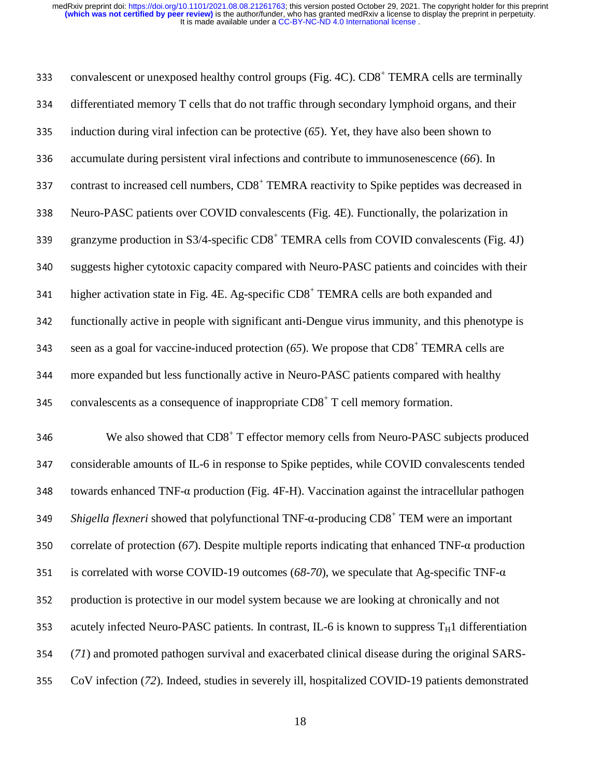| 333 | convalescent or unexposed healthy control groups (Fig. 4C). CD8 <sup>+</sup> TEMRA cells are terminally             |
|-----|---------------------------------------------------------------------------------------------------------------------|
| 334 | differentiated memory T cells that do not traffic through secondary lymphoid organs, and their                      |
| 335 | induction during viral infection can be protective $(65)$ . Yet, they have also been shown to                       |
| 336 | accumulate during persistent viral infections and contribute to immunosenescence (66). In                           |
| 337 | contrast to increased cell numbers, CD8 <sup>+</sup> TEMRA reactivity to Spike peptides was decreased in            |
| 338 | Neuro-PASC patients over COVID convalescents (Fig. 4E). Functionally, the polarization in                           |
| 339 | granzyme production in S3/4-specific CD8 <sup>+</sup> TEMRA cells from COVID convalescents (Fig. 4J)                |
| 340 | suggests higher cytotoxic capacity compared with Neuro-PASC patients and coincides with their                       |
| 341 | higher activation state in Fig. 4E. Ag-specific CD8 <sup>+</sup> TEMRA cells are both expanded and                  |
| 342 | functionally active in people with significant anti-Dengue virus immunity, and this phenotype is                    |
| 343 | seen as a goal for vaccine-induced protection $(65)$ . We propose that CD8 <sup>+</sup> TEMRA cells are             |
| 344 | more expanded but less functionally active in Neuro-PASC patients compared with healthy                             |
| 345 | convalescents as a consequence of inappropriate CD8 <sup>+</sup> T cell memory formation.                           |
| 346 | We also showed that CD8 <sup>+</sup> T effector memory cells from Neuro-PASC subjects produced                      |
| 347 | considerable amounts of IL-6 in response to Spike peptides, while COVID convalescents tended                        |
| 348 | towards enhanced TNF- $\alpha$ production (Fig. 4F-H). Vaccination against the intracellular pathogen               |
| 349 | <i>Shigella flexneri</i> showed that polyfunctional TNF- $\alpha$ -producing CD8 <sup>+</sup> TEM were an important |
| 350 | correlate of protection (67). Despite multiple reports indicating that enhanced TNF- $\alpha$ production            |
| 351 | is correlated with worse COVID-19 outcomes (68-70), we speculate that Ag-specific TNF- $\alpha$                     |
| 352 | production is protective in our model system because we are looking at chronically and not                          |
| 353 | acutely infected Neuro-PASC patients. In contrast, IL-6 is known to suppress $T_H1$ differentiation                 |
| 354 | (71) and promoted pathogen survival and exacerbated clinical disease during the original SARS-                      |
| 355 | CoV infection (72). Indeed, studies in severely ill, hospitalized COVID-19 patients demonstrated                    |
|     |                                                                                                                     |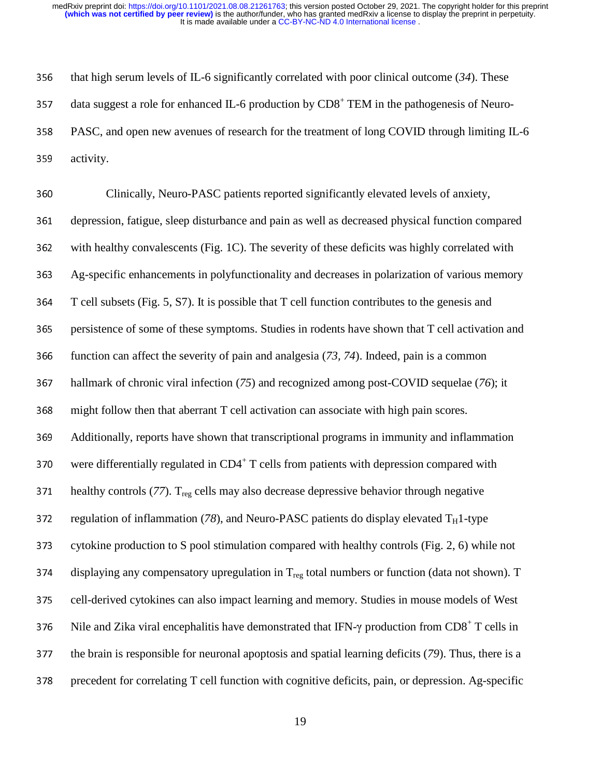#### It is made available under a [CC-BY-NC-ND 4.0 International license](http://creativecommons.org/licenses/by-nc-nd/4.0/) . **(which was not certified by peer review)** is the author/funder, who has granted medRxiv a license to display the preprint in perpetuity. medRxiv preprint doi: [https://doi.org/10.1101/2021.08.08.21261763;](https://doi.org/10.1101/2021.08.08.21261763) this version posted October 29, 2021. The copyright holder for this preprint

356 that high serum levels of IL-6 significantly correlated with poor clinical outcome  $(34)$ . These 357 data suggest a role for enhanced IL-6 production by  $CDS<sup>+</sup> TEM$  in the pathogenesis of Neuro-358 PASC, and open new avenues of research for the treatment of long COVID through limiting IL-6 359 activity.

360 Clinically, Neuro-PASC patients reported significantly elevated levels of anxiety, 361 depression, fatigue, sleep disturbance and pain as well as decreased physical function compared 362 with healthy convalescents (Fig. 1C). The severity of these deficits was highly correlated with 363 Ag-specific enhancements in polyfunctionality and decreases in polarization of various memory 364 T cell subsets (Fig. 5, S7). It is possible that T cell function contributes to the genesis and 365 persistence of some of these symptoms. Studies in rodents have shown that T cell activation and 366 function can affect the severity of pain and analgesia (73, 74). Indeed, pain is a common <sup>367</sup>hallmark of chronic viral infection (*75*) and recognized among post-COVID sequelae (*76*); it 368 might follow then that aberrant T cell activation can associate with high pain scores. <sup>369</sup>Additionally, reports have shown that transcriptional programs in immunity and inflammation 370 were differentially regulated in  $CD4^+$  T cells from patients with depression compared with 371 healthy controls ( $77$ ). T<sub>reg</sub> cells may also decrease depressive behavior through negative 372 regulation of inflammation ( $78$ ), and Neuro-PASC patients do display elevated  $T_H1$ -type 373 cytokine production to S pool stimulation compared with healthy controls (Fig. 2, 6) while not 374 displaying any compensatory upregulation in  $T_{\text{reg}}$  total numbers or function (data not shown). T 375 cell-derived cytokines can also impact learning and memory. Studies in mouse models of West 376 Nile and Zika viral encephalitis have demonstrated that IFN- $\gamma$  production from CD8<sup>+</sup> T cells in 377 the brain is responsible for neuronal apoptosis and spatial learning deficits (*79*). Thus, there is a 378 precedent for correlating T cell function with cognitive deficits, pain, or depression. Ag-specific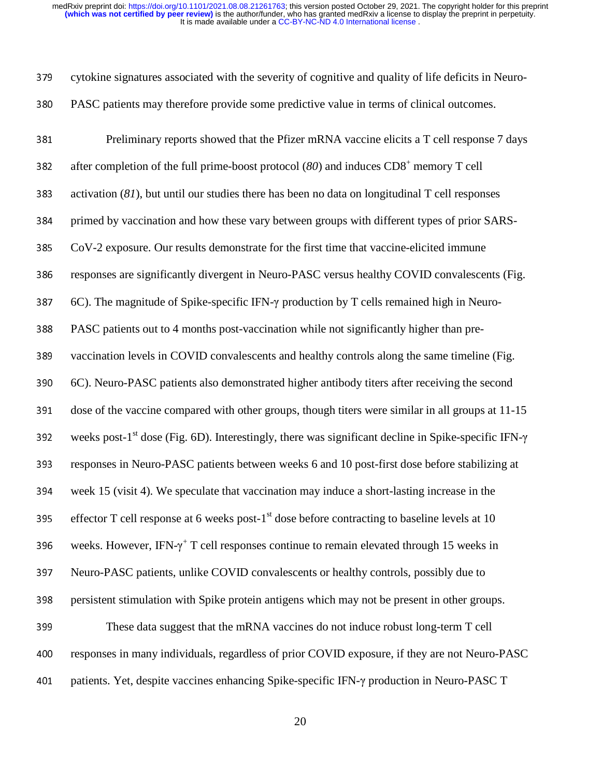cytokine signatures associated with the severity of cognitive and quality of life deficits in Neuro-380 PASC patients may therefore provide some predictive value in terms of clinical outcomes.

| 381 | Preliminary reports showed that the Pfizer mRNA vaccine elicits a T cell response 7 days                                |
|-----|-------------------------------------------------------------------------------------------------------------------------|
| 382 | after completion of the full prime-boost protocol (80) and induces $CDS+$ memory T cell                                 |
| 383 | activation $(81)$ , but until our studies there has been no data on longitudinal T cell responses                       |
| 384 | primed by vaccination and how these vary between groups with different types of prior SARS-                             |
| 385 | CoV-2 exposure. Our results demonstrate for the first time that vaccine-elicited immune                                 |
| 386 | responses are significantly divergent in Neuro-PASC versus healthy COVID convalescents (Fig.                            |
| 387 | 6C). The magnitude of Spike-specific IFN-y production by T cells remained high in Neuro-                                |
| 388 | PASC patients out to 4 months post-vaccination while not significantly higher than pre-                                 |
| 389 | vaccination levels in COVID convalescents and healthy controls along the same timeline (Fig.                            |
| 390 | 6C). Neuro-PASC patients also demonstrated higher antibody titers after receiving the second                            |
| 391 | dose of the vaccine compared with other groups, though titers were similar in all groups at 11-15                       |
| 392 | weeks post-1 <sup>st</sup> dose (Fig. 6D). Interestingly, there was significant decline in Spike-specific IFN- $\gamma$ |
| 393 | responses in Neuro-PASC patients between weeks 6 and 10 post-first dose before stabilizing at                           |
| 394 | week 15 (visit 4). We speculate that vaccination may induce a short-lasting increase in the                             |
| 395 | effector T cell response at 6 weeks post-1 <sup>st</sup> dose before contracting to baseline levels at 10               |
| 396 | weeks. However, IFN- $\gamma^+$ T cell responses continue to remain elevated through 15 weeks in                        |
| 397 | Neuro-PASC patients, unlike COVID convalescents or healthy controls, possibly due to                                    |
| 398 | persistent stimulation with Spike protein antigens which may not be present in other groups.                            |
| 399 | These data suggest that the mRNA vaccines do not induce robust long-term T cell                                         |
| 400 | responses in many individuals, regardless of prior COVID exposure, if they are not Neuro-PASC                           |
| 401 | patients. Yet, despite vaccines enhancing Spike-specific IFN-y production in Neuro-PASC T                               |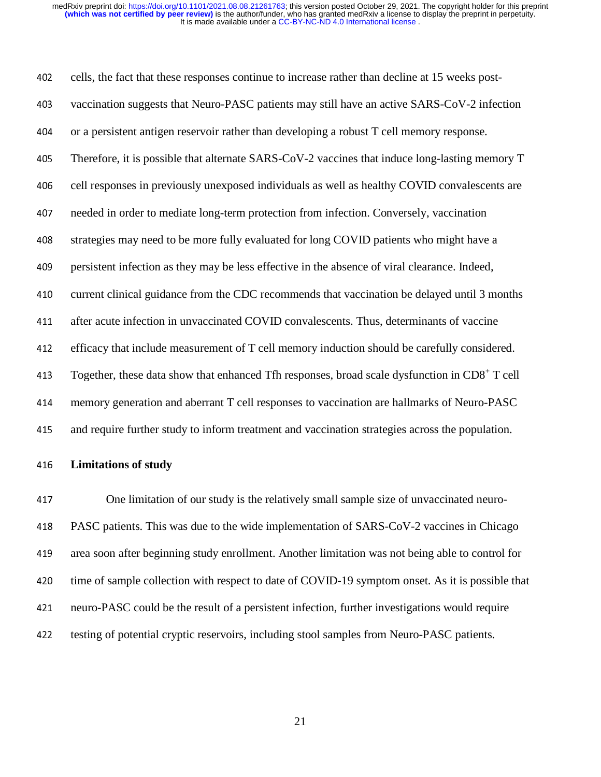402 cells, the fact that these responses continue to increase rather than decline at 15 weeks post-403 vaccination suggests that Neuro-PASC patients may still have an active SARS-CoV-2 infection 404 or a persistent antigen reservoir rather than developing a robust T cell memory response. <sup>405</sup>Therefore, it is possible that alternate SARS-CoV-2 vaccines that induce long-lasting memory T 406 cell responses in previously unexposed individuals as well as healthy COVID convalescents are 407 needed in order to mediate long-term protection from infection. Conversely, vaccination 408 strategies may need to be more fully evaluated for long COVID patients who might have a 109 persistent infection as they may be less effective in the absence of viral clearance. Indeed, 410 current clinical guidance from the CDC recommends that vaccination be delayed until 3 months <sup>411</sup>after acute infection in unvaccinated COVID convalescents. Thus, determinants of vaccine 412 efficacy that include measurement of T cell memory induction should be carefully considered. 413 Together, these data show that enhanced Tfh responses, broad scale dysfunction in  $CD8<sup>+</sup> T$  cell 414 memory generation and aberrant T cell responses to vaccination are hallmarks of Neuro-PASC <sup>415</sup>and require further study to inform treatment and vaccination strategies across the population.

#### <sup>416</sup>**Limitations of study**

417 One limitation of our study is the relatively small sample size of unvaccinated neuro-418 PASC patients. This was due to the wide implementation of SARS-CoV-2 vaccines in Chicago 419 area soon after beginning study enrollment. Another limitation was not being able to control for 420 time of sample collection with respect to date of COVID-19 symptom onset. As it is possible that <sup>421</sup>neuro-PASC could be the result of a persistent infection, further investigations would require 422 testing of potential cryptic reservoirs, including stool samples from Neuro-PASC patients.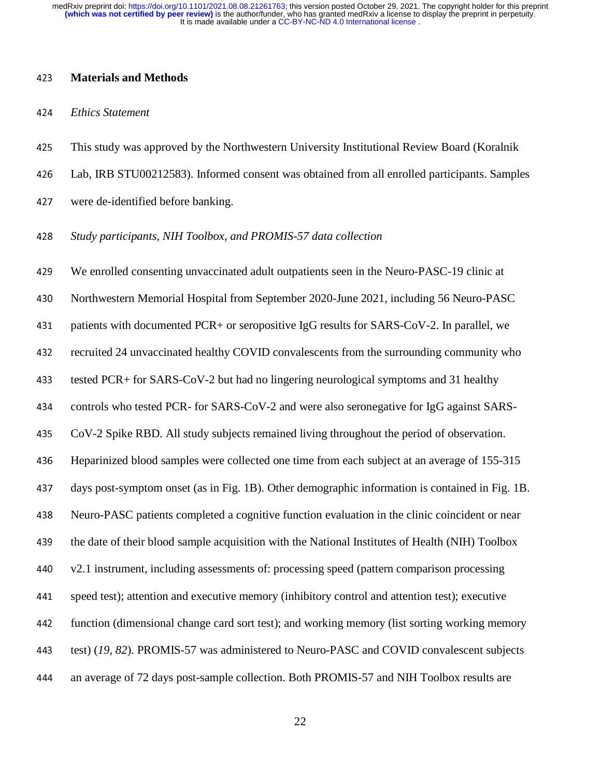#### <sup>423</sup>**Materials and Methods**

#### <sup>424</sup>*Ethics Statement*

- 425 This study was approved by the Northwestern University Institutional Review Board (Koralnik
- <sup>426</sup>Lab, IRB STU00212583). Informed consent was obtained from all enrolled participants. Samples
- 427 were de-identified before banking.
- <sup>428</sup>*Study participants, NIH Toolbox, and PROMIS-57 data collection*

<sup>429</sup>We enrolled consenting unvaccinated adult outpatients seen in the Neuro-PASC-19 clinic at 430 Northwestern Memorial Hospital from September 2020-June 2021, including 56 Neuro-PASC 431 patients with documented PCR+ or seropositive IgG results for SARS-CoV-2. In parallel, we 432 recruited 24 unvaccinated healthy COVID convalescents from the surrounding community who 433 tested PCR+ for SARS-CoV-2 but had no lingering neurological symptoms and 31 healthy 434 controls who tested PCR- for SARS-CoV-2 and were also seronegative for IgG against SARS-435 CoV-2 Spike RBD. All study subjects remained living throughout the period of observation. 436 Heparinized blood samples were collected one time from each subject at an average of 155-315 437 days post-symptom onset (as in Fig. 1B). Other demographic information is contained in Fig. 1B. <sup>438</sup>Neuro-PASC patients completed a cognitive function evaluation in the clinic coincident or near 439 the date of their blood sample acquisition with the National Institutes of Health (NIH) Toolbox 440 v2.1 instrument, including assessments of: processing speed (pattern comparison processing <sup>441</sup>speed test); attention and executive memory (inhibitory control and attention test); executive 442 function (dimensional change card sort test); and working memory (list sorting working memory 443 test) (19, 82). PROMIS-57 was administered to Neuro-PASC and COVID convalescent subjects <sup>444</sup>an average of 72 days post-sample collection. Both PROMIS-57 and NIH Toolbox results are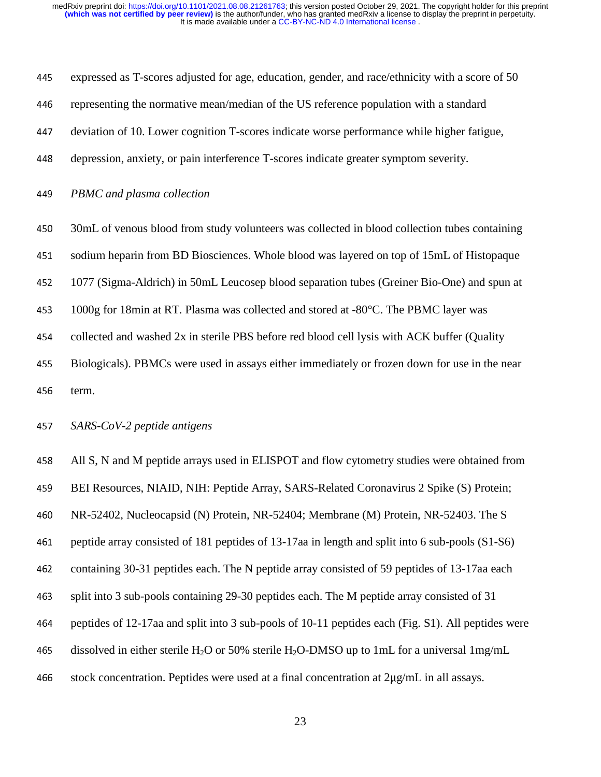<sup>445</sup>expressed as T-scores adjusted for age, education, gender, and race/ethnicity with a score of 50 446 representing the normative mean/median of the US reference population with a standard 447 deviation of 10. Lower cognition T-scores indicate worse performance while higher fatigue, 448 depression, anxiety, or pain interference T-scores indicate greater symptom severity. <sup>449</sup>*PBMC and plasma collection* 450 30mL of venous blood from study volunteers was collected in blood collection tubes containing 451 sodium heparin from BD Biosciences. Whole blood was layered on top of 15mL of Histopaque

<sup>452</sup>1077 (Sigma-Aldrich) in 50mL Leucosep blood separation tubes (Greiner Bio-One) and spun at

453 1000g for 18min at RT. Plasma was collected and stored at -80°C. The PBMC layer was

454 collected and washed 2x in sterile PBS before red blood cell lysis with ACK buffer (Quality

455 Biologicals). PBMCs were used in assays either immediately or frozen down for use in the near 456 term.

<sup>457</sup>*SARS-CoV-2 peptide antigens* 

458 All S, N and M peptide arrays used in ELISPOT and flow cytometry studies were obtained from 459 BEI Resources, NIAID, NIH: Peptide Array, SARS-Related Coronavirus 2 Spike (S) Protein; 460 NR-52402, Nucleocapsid (N) Protein, NR-52404; Membrane (M) Protein, NR-52403. The S <sup>461</sup>peptide array consisted of 181 peptides of 13-17aa in length and split into 6 sub-pools (S1-S6) 462 containing 30-31 peptides each. The N peptide array consisted of 59 peptides of 13-17aa each 463 split into 3 sub-pools containing 29-30 peptides each. The M peptide array consisted of 31 464 peptides of 12-17aa and split into 3 sub-pools of 10-11 peptides each (Fig. S1). All peptides were 465 dissolved in either sterile H<sub>2</sub>O or 50% sterile H<sub>2</sub>O-DMSO up to 1mL for a universal 1mg/mL 466 stock concentration. Peptides were used at a final concentration at  $2\mu\text{g/mL}$  in all assays.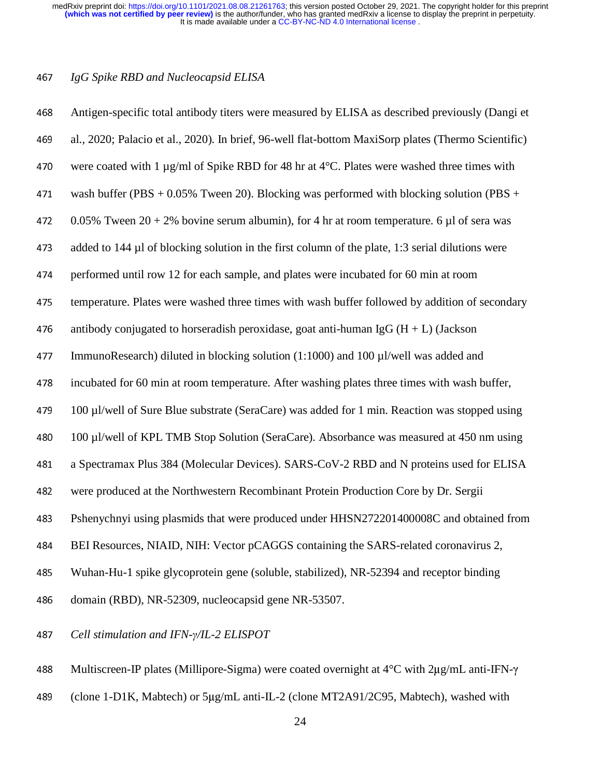## *IgG Spike RBD and Nucleocapsid ELISA*

| 468 | Antigen-specific total antibody titers were measured by ELISA as described previously (Dangi et     |
|-----|-----------------------------------------------------------------------------------------------------|
| 469 | al., 2020; Palacio et al., 2020). In brief, 96-well flat-bottom MaxiSorp plates (Thermo Scientific) |
| 470 | were coated with 1 $\mu$ g/ml of Spike RBD for 48 hr at 4°C. Plates were washed three times with    |
| 471 | wash buffer (PBS + $0.05\%$ Tween 20). Blocking was performed with blocking solution (PBS +         |
| 472 | 0.05% Tween $20 + 2$ % bovine serum albumin), for 4 hr at room temperature. 6 µl of sera was        |
| 473 | added to 144 µl of blocking solution in the first column of the plate, 1:3 serial dilutions were    |
| 474 | performed until row 12 for each sample, and plates were incubated for 60 min at room                |
| 475 | temperature. Plates were washed three times with wash buffer followed by addition of secondary      |
| 476 | antibody conjugated to horseradish peroxidase, goat anti-human IgG $(H + L)$ (Jackson               |
| 477 | ImmunoResearch) diluted in blocking solution (1:1000) and 100 µl/well was added and                 |
| 478 | incubated for 60 min at room temperature. After washing plates three times with wash buffer,        |
| 479 | 100 µl/well of Sure Blue substrate (SeraCare) was added for 1 min. Reaction was stopped using       |
| 480 | 100 µl/well of KPL TMB Stop Solution (SeraCare). Absorbance was measured at 450 nm using            |
| 481 | a Spectramax Plus 384 (Molecular Devices). SARS-CoV-2 RBD and N proteins used for ELISA             |
| 482 | were produced at the Northwestern Recombinant Protein Production Core by Dr. Sergii                 |
| 483 | Pshenychnyi using plasmids that were produced under HHSN272201400008C and obtained from             |
| 484 | BEI Resources, NIAID, NIH: Vector pCAGGS containing the SARS-related coronavirus 2,                 |
| 485 | Wuhan-Hu-1 spike glycoprotein gene (soluble, stabilized), NR-52394 and receptor binding             |
| 486 | domain (RBD), NR-52309, nucleocapsid gene NR-53507.                                                 |
|     |                                                                                                     |

*Cell stimulation and IFN-*γ*/IL-2 ELISPOT* 

Multiscreen-IP plates (Millipore-Sigma) were coated overnight at 4°C with 2μg/mL anti-IFN-<sup>γ</sup>

489 (clone 1-D1K, Mabtech) or 5μg/mL anti-IL-2 (clone MT2A91/2C95, Mabtech), washed with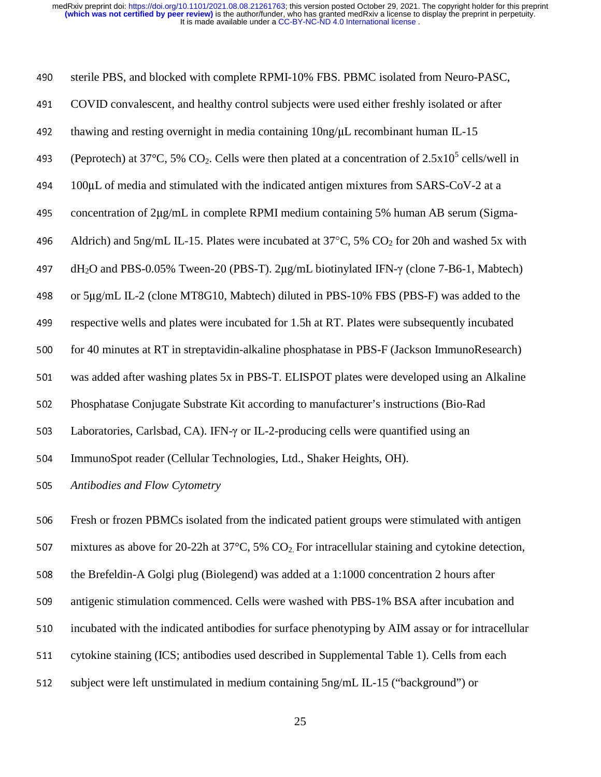| 490 | sterile PBS, and blocked with complete RPMI-10% FBS. PBMC isolated from Neuro-PASC,                                          |
|-----|------------------------------------------------------------------------------------------------------------------------------|
| 491 | COVID convalescent, and healthy control subjects were used either freshly isolated or after                                  |
| 492 | thawing and resting overnight in media containing 10ng/µL recombinant human IL-15                                            |
| 493 | (Peprotech) at 37 <sup>o</sup> C, 5% CO <sub>2</sub> . Cells were then plated at a concentration of $2.5x10^5$ cells/well in |
| 494 | 100µL of media and stimulated with the indicated antigen mixtures from SARS-CoV-2 at a                                       |
| 495 | concentration of 2µg/mL in complete RPMI medium containing 5% human AB serum (Sigma-                                         |
| 496 | Aldrich) and 5ng/mL IL-15. Plates were incubated at $37^{\circ}$ C, 5% CO <sub>2</sub> for 20h and washed 5x with            |
| 497 | dH <sub>2</sub> O and PBS-0.05% Tween-20 (PBS-T). 2μg/mL biotinylated IFN-γ (clone 7-B6-1, Mabtech)                          |
| 498 | or 5µg/mL IL-2 (clone MT8G10, Mabtech) diluted in PBS-10% FBS (PBS-F) was added to the                                       |
| 499 | respective wells and plates were incubated for 1.5h at RT. Plates were subsequently incubated                                |
| 500 | for 40 minutes at RT in streptavidin-alkaline phosphatase in PBS-F (Jackson ImmunoResearch)                                  |
| 501 | was added after washing plates 5x in PBS-T. ELISPOT plates were developed using an Alkaline                                  |
| 502 | Phosphatase Conjugate Substrate Kit according to manufacturer's instructions (Bio-Rad                                        |
| 503 | Laboratories, Carlsbad, CA). IFN-y or IL-2-producing cells were quantified using an                                          |
| 504 | ImmunoSpot reader (Cellular Technologies, Ltd., Shaker Heights, OH).                                                         |
| 505 | Antibodies and Flow Cytometry                                                                                                |
| 506 | Fresh or frozen PBMCs isolated from the indicated patient groups were stimulated with antigen                                |
| 507 | mixtures as above for 20-22h at 37 $\degree$ C, 5% CO <sub>2</sub> . For intracellular staining and cytokine detection,      |
| 508 | the Brefeldin-A Golgi plug (Biolegend) was added at a 1:1000 concentration 2 hours after                                     |
| 509 | antigenic stimulation commenced. Cells were washed with PBS-1% BSA after incubation and                                      |
|     |                                                                                                                              |

- 510 incubated with the indicated antibodies for surface phenotyping by AIM assay or for intracellular
- 511 cytokine staining (ICS; antibodies used described in Supplemental Table 1). Cells from each
- 512 subject were left unstimulated in medium containing 5ng/mL IL-15 ("background") or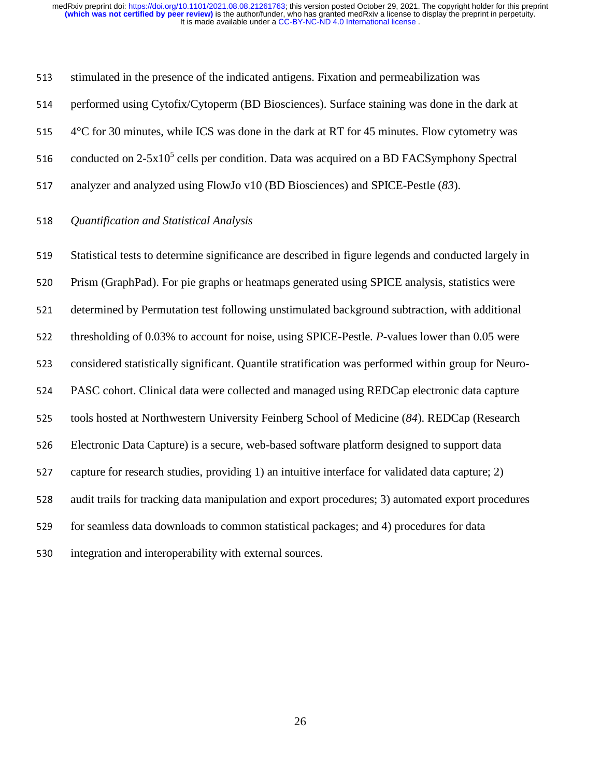513 stimulated in the presence of the indicated antigens. Fixation and permeabilization was

514 performed using Cytofix/Cytoperm (BD Biosciences). Surface staining was done in the dark at

515 4°C for 30 minutes, while ICS was done in the dark at RT for 45 minutes. Flow cytometry was

516 conducted on 2-5x10<sup>5</sup> cells per condition. Data was acquired on a BD FACSymphony Spectral

517 analyzer and analyzed using FlowJo v10 (BD Biosciences) and SPICE-Pestle (83).

#### <sup>518</sup>*Quantification and Statistical Analysis*

519 Statistical tests to determine significance are described in figure legends and conducted largely in 520 Prism (GraphPad). For pie graphs or heatmaps generated using SPICE analysis, statistics were 521 determined by Permutation test following unstimulated background subtraction, with additional 522 thresholding of 0.03% to account for noise, using SPICE-Pestle. *P*-values lower than 0.05 were 523 considered statistically significant. Quantile stratification was performed within group for Neuro-524 PASC cohort. Clinical data were collected and managed using REDCap electronic data capture 525 tools hosted at Northwestern University Feinberg School of Medicine (84). REDCap (Research 526 Electronic Data Capture) is a secure, web-based software platform designed to support data 527 capture for research studies, providing 1) an intuitive interface for validated data capture; 2) 528 audit trails for tracking data manipulation and export procedures; 3) automated export procedures 529 for seamless data downloads to common statistical packages; and 4) procedures for data 530 integration and interoperability with external sources.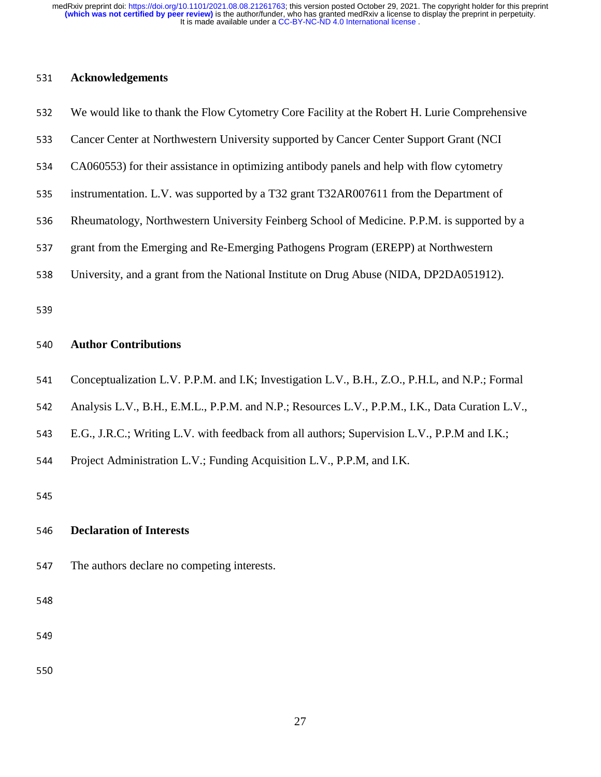## <sup>531</sup>**Acknowledgements**

| We would like to thank the Flow Cytometry Core Facility at the Robert H. Lurie Comprehensive    |
|-------------------------------------------------------------------------------------------------|
| Cancer Center at Northwestern University supported by Cancer Center Support Grant (NCI          |
| CA060553) for their assistance in optimizing antibody panels and help with flow cytometry       |
| instrumentation. L.V. was supported by a T32 grant T32AR007611 from the Department of           |
| Rheumatology, Northwestern University Feinberg School of Medicine. P.P.M. is supported by a     |
| grant from the Emerging and Re-Emerging Pathogens Program (EREPP) at Northwestern               |
| University, and a grant from the National Institute on Drug Abuse (NIDA, DP2DA051912).          |
|                                                                                                 |
| <b>Author Contributions</b>                                                                     |
| Conceptualization L.V. P.P.M. and I.K; Investigation L.V., B.H., Z.O., P.H.L, and N.P.; Formal  |
| Analysis L.V., B.H., E.M.L., P.P.M. and N.P.; Resources L.V., P.P.M., I.K., Data Curation L.V., |
| E.G., J.R.C.; Writing L.V. with feedback from all authors; Supervision L.V., P.P.M and I.K.;    |
| Project Administration L.V.; Funding Acquisition L.V., P.P.M, and I.K.                          |
|                                                                                                 |
| <b>Declaration of Interests</b>                                                                 |
| The authors declare no competing interests.                                                     |
|                                                                                                 |
|                                                                                                 |
|                                                                                                 |
|                                                                                                 |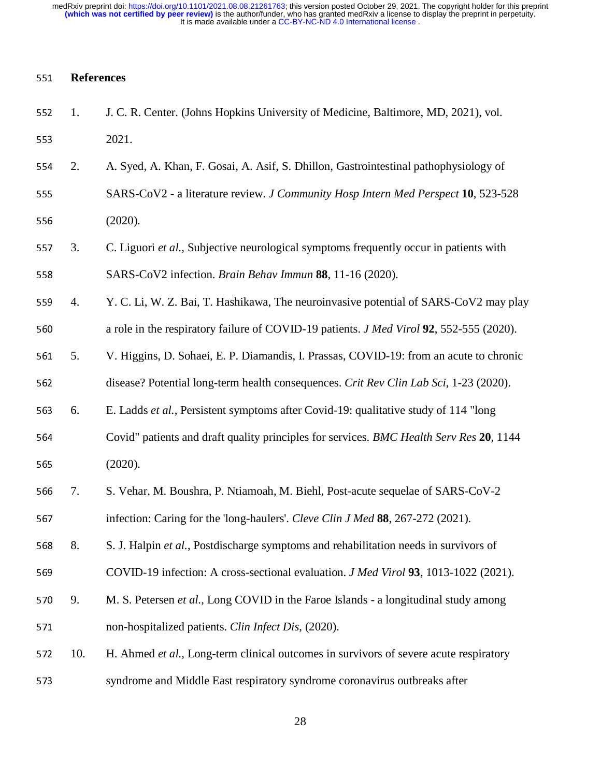### <sup>551</sup>**References**

| 552 | 1.  | J. C. R. Center. (Johns Hopkins University of Medicine, Baltimore, MD, 2021), vol.             |
|-----|-----|------------------------------------------------------------------------------------------------|
| 553 |     | 2021.                                                                                          |
| 554 | 2.  | A. Syed, A. Khan, F. Gosai, A. Asif, S. Dhillon, Gastrointestinal pathophysiology of           |
| 555 |     | SARS-CoV2 - a literature review. J Community Hosp Intern Med Perspect 10, 523-528              |
| 556 |     | (2020).                                                                                        |
| 557 | 3.  | C. Liguori et al., Subjective neurological symptoms frequently occur in patients with          |
| 558 |     | SARS-CoV2 infection. Brain Behav Immun 88, 11-16 (2020).                                       |
| 559 | 4.  | Y. C. Li, W. Z. Bai, T. Hashikawa, The neuroinvasive potential of SARS-CoV2 may play           |
| 560 |     | a role in the respiratory failure of COVID-19 patients. <i>J Med Virol</i> 92, 552-555 (2020). |
| 561 | 5.  | V. Higgins, D. Sohaei, E. P. Diamandis, I. Prassas, COVID-19: from an acute to chronic         |
| 562 |     | disease? Potential long-term health consequences. Crit Rev Clin Lab Sci, 1-23 (2020).          |
| 563 | 6.  | E. Ladds et al., Persistent symptoms after Covid-19: qualitative study of 114 "long            |
| 564 |     | Covid" patients and draft quality principles for services. BMC Health Serv Res 20, 1144        |
| 565 |     | (2020).                                                                                        |
| 566 | 7.  | S. Vehar, M. Boushra, P. Ntiamoah, M. Biehl, Post-acute sequelae of SARS-CoV-2                 |
| 567 |     | infection: Caring for the 'long-haulers'. Cleve Clin J Med 88, 267-272 (2021).                 |
| 568 | 8.  | S. J. Halpin et al., Postdischarge symptoms and rehabilitation needs in survivors of           |
| 569 |     | COVID-19 infection: A cross-sectional evaluation. <i>J Med Virol</i> 93, 1013-1022 (2021).     |
| 570 | 9.  | M. S. Petersen et al., Long COVID in the Faroe Islands - a longitudinal study among            |
| 571 |     | non-hospitalized patients. Clin Infect Dis, (2020).                                            |
| 572 | 10. | H. Ahmed et al., Long-term clinical outcomes in survivors of severe acute respiratory          |
| 573 |     | syndrome and Middle East respiratory syndrome coronavirus outbreaks after                      |
|     |     |                                                                                                |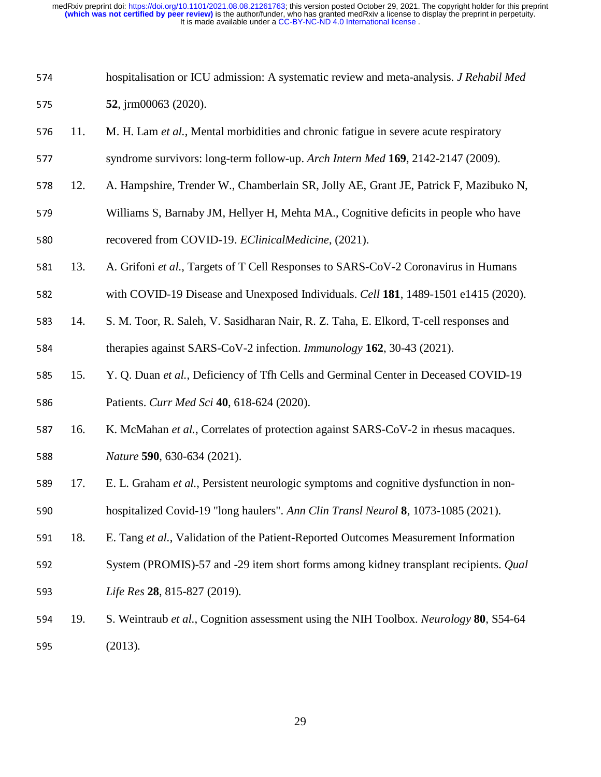| 574 | hospitalisation or ICU admission: A systematic review and meta-analysis. J Rehabil Med |
|-----|----------------------------------------------------------------------------------------|
| 575 | 52, j $rm 00063$ (2020).                                                               |

- 576 11. M. H. Lam *et al.*, Mental morbidities and chronic fatigue in severe acute respiratory
- <sup>577</sup>syndrome survivors: long-term follow-up. *Arch Intern Med* **<sup>169</sup>**, 2142-2147 (2009).
- 578 12. A. Hampshire, Trender W., Chamberlain SR, Jolly AE, Grant JE, Patrick F, Mazibuko N,
- 579 Williams S, Barnaby JM, Hellyer H, Mehta MA., Cognitive deficits in people who have 580 recovered from COVID-19. *EClinicalMedicine*, (2021).
- 581 13. A. Grifoni *et al.*, Targets of T Cell Responses to SARS-CoV-2 Coronavirus in Humans
- 582 with COVID-19 Disease and Unexposed Individuals. *Cell* 181, 1489-1501 e1415 (2020).
- 583 14. S. M. Toor, R. Saleh, V. Sasidharan Nair, R. Z. Taha, E. Elkord, T-cell responses and 584 therapies against SARS-CoV-2 infection. *Immunology* 162, 30-43 (2021).
- <sup>585</sup>15. Y. Q. Duan *et al.*, Deficiency of Tfh Cells and Germinal Center in Deceased COVID-19 586 Patients. *Curr Med Sci* **40**, 618-624 (2020).
- 587 16. K. McMahan *et al.*, Correlates of protection against SARS-CoV-2 in rhesus macaques. <sup>588</sup>*Nature* **<sup>590</sup>**, 630-634 (2021).
- 589 17. E. L. Graham *et al.*, Persistent neurologic symptoms and cognitive dysfunction in non-590 hospitalized Covid-19 "long haulers". *Ann Clin Transl Neurol* **8**, 1073-1085 (2021).
- 591 18. E. Tang et al., Validation of the Patient-Reported Outcomes Measurement Information
- 592 System (PROMIS)-57 and -29 item short forms among kidney transplant recipients. *Qual* <sup>593</sup>*Life Res* **<sup>28</sup>**, 815-827 (2019).
- <sup>594</sup>19. S. Weintraub *et al.*, Cognition assessment using the NIH Toolbox. *Neurology* **<sup>80</sup>**, S54-64 <sup>595</sup>(2013).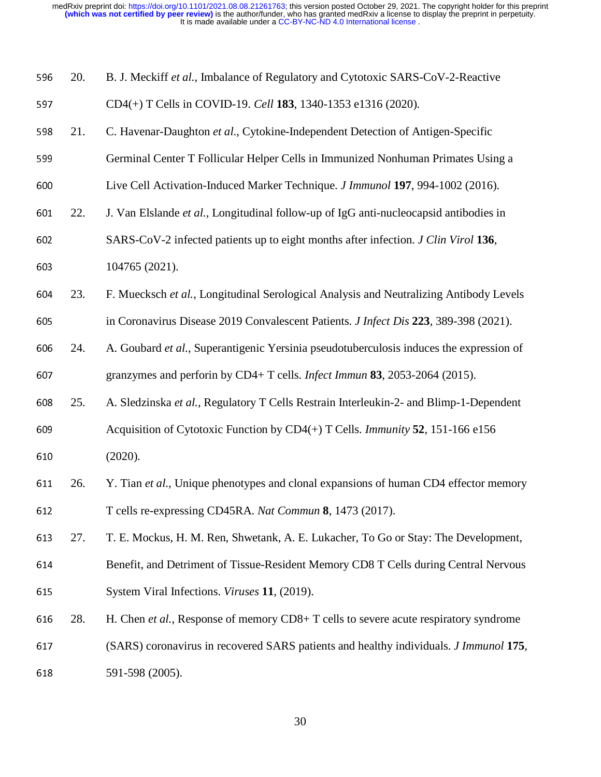| 596 | 20. | B. J. Meckiff et al., Imbalance of Regulatory and Cytotoxic SARS-CoV-2-Reactive              |
|-----|-----|----------------------------------------------------------------------------------------------|
| 597 |     | CD4(+) T Cells in COVID-19. Cell 183, 1340-1353 e1316 (2020).                                |
| 598 | 21. | C. Havenar-Daughton et al., Cytokine-Independent Detection of Antigen-Specific               |
| 599 |     | Germinal Center T Follicular Helper Cells in Immunized Nonhuman Primates Using a             |
| 600 |     | Live Cell Activation-Induced Marker Technique. J Immunol 197, 994-1002 (2016).               |
| 601 | 22. | J. Van Elslande et al., Longitudinal follow-up of IgG anti-nucleocapsid antibodies in        |
| 602 |     | SARS-CoV-2 infected patients up to eight months after infection. J Clin Virol 136,           |
| 603 |     | 104765 (2021).                                                                               |
| 604 | 23. | F. Muecksch et al., Longitudinal Serological Analysis and Neutralizing Antibody Levels       |
| 605 |     | in Coronavirus Disease 2019 Convalescent Patients. J Infect Dis 223, 389-398 (2021).         |
| 606 | 24. | A. Goubard et al., Superantigenic Yersinia pseudotuberculosis induces the expression of      |
| 607 |     | granzymes and perforin by CD4+ T cells. <i>Infect Immun</i> 83, 2053-2064 (2015).            |
| 608 | 25. | A. Sledzinska et al., Regulatory T Cells Restrain Interleukin-2- and Blimp-1-Dependent       |
| 609 |     | Acquisition of Cytotoxic Function by $CD4(+)$ T Cells. <i>Immunity</i> 52, 151-166 e156      |
| 610 |     | (2020).                                                                                      |
| 611 | 26. | Y. Tian et al., Unique phenotypes and clonal expansions of human CD4 effector memory         |
| 612 |     | T cells re-expressing CD45RA. Nat Commun 8, 1473 (2017).                                     |
| 613 | 27. | T. E. Mockus, H. M. Ren, Shwetank, A. E. Lukacher, To Go or Stay: The Development,           |
| 614 |     | Benefit, and Detriment of Tissue-Resident Memory CD8 T Cells during Central Nervous          |
| 615 |     | System Viral Infections. Viruses 11, (2019).                                                 |
| 616 | 28. | H. Chen et al., Response of memory CD8+ T cells to severe acute respiratory syndrome         |
| 617 |     | (SARS) coronavirus in recovered SARS patients and healthy individuals. <i>J Immunol</i> 175, |
| 618 |     | 591-598 (2005).                                                                              |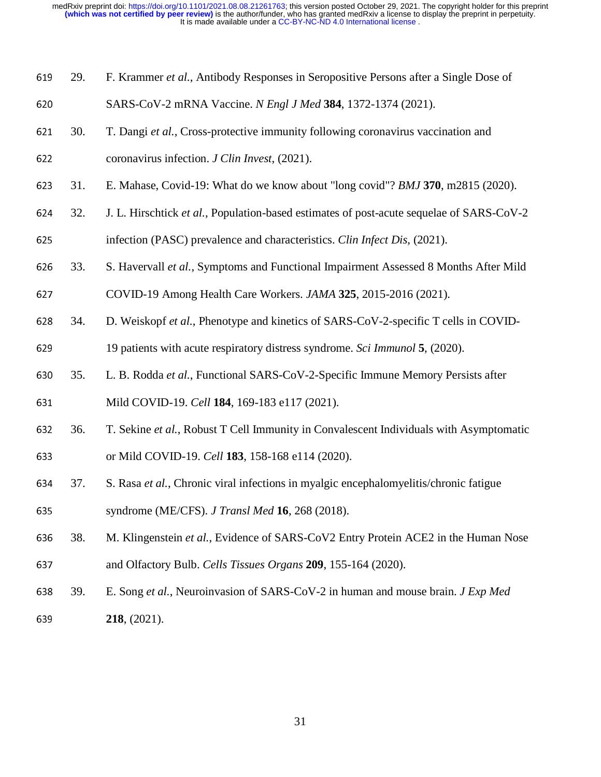|  | 619 29. F. Krammer et al., Antibody Responses in Seropositive Persons after a Single Dose of |
|--|----------------------------------------------------------------------------------------------|
|  |                                                                                              |

- SARS-CoV-2 mRNA Vaccine. *N Engl J Med* **<sup>384</sup>**, 1372-1374 (2021).
- 30. T. Dangi *et al.*, Cross-protective immunity following coronavirus vaccination and
- coronavirus infection. *J Clin Invest*, (2021).
- 31. E. Mahase, Covid-19: What do we know about "long covid"? *BMJ* **<sup>370</sup>**, m2815 (2020).
- 32. J. L. Hirschtick *et al.*, Population-based estimates of post-acute sequelae of SARS-CoV-2
- infection (PASC) prevalence and characteristics. *Clin Infect Dis*, (2021).
- 33. S. Havervall *et al.*, Symptoms and Functional Impairment Assessed 8 Months After Mild
- COVID-19 Among Health Care Workers. *JAMA* **<sup>325</sup>**, 2015-2016 (2021).
- 34. D. Weiskopf *et al.*, Phenotype and kinetics of SARS-CoV-2-specific T cells in COVID-
- 19 patients with acute respiratory distress syndrome. *Sci Immunol* **<sup>5</sup>**, (2020).
- 35. L. B. Rodda *et al.*, Functional SARS-CoV-2-Specific Immune Memory Persists after
- Mild COVID-19. *Cell* **<sup>184</sup>**, 169-183 e117 (2021).
- 36. T. Sekine *et al.*, Robust T Cell Immunity in Convalescent Individuals with Asymptomatic
- or Mild COVID-19. *Cell* **<sup>183</sup>**, 158-168 e114 (2020).
- 37. S. Rasa *et al.*, Chronic viral infections in myalgic encephalomyelitis/chronic fatigue syndrome (ME/CFS). *J Transl Med* **<sup>16</sup>**, 268 (2018).
- 38. M. Klingenstein *et al.*, Evidence of SARS-CoV2 Entry Protein ACE2 in the Human Nose and Olfactory Bulb. *Cells Tissues Organs* **<sup>209</sup>**, 155-164 (2020).
- 39. E. Song *et al.*, Neuroinvasion of SARS-CoV-2 in human and mouse brain. *J Exp Med* **218**, (2021).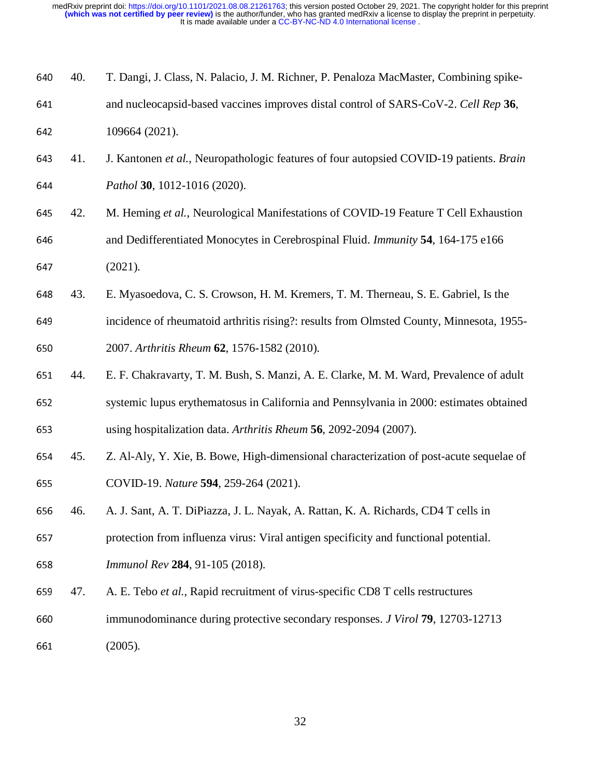| 640 | 40. | T. Dangi, J. Class, N. Palacio, J. M. Richner, P. Penaloza MacMaster, Combining spike-   |
|-----|-----|------------------------------------------------------------------------------------------|
| 641 |     | and nucleocapsid-based vaccines improves distal control of SARS-CoV-2. Cell Rep 36,      |
| 642 |     | 109664 (2021).                                                                           |
| 643 | 41. | J. Kantonen et al., Neuropathologic features of four autopsied COVID-19 patients. Brain  |
| 644 |     | Pathol 30, 1012-1016 (2020).                                                             |
| 645 | 42. | M. Heming et al., Neurological Manifestations of COVID-19 Feature T Cell Exhaustion      |
| 646 |     | and Dedifferentiated Monocytes in Cerebrospinal Fluid. Immunity 54, 164-175 e166         |
| 647 |     | (2021).                                                                                  |
| 648 | 43. | E. Myasoedova, C. S. Crowson, H. M. Kremers, T. M. Therneau, S. E. Gabriel, Is the       |
| 649 |     | incidence of rheumatoid arthritis rising?: results from Olmsted County, Minnesota, 1955- |
| 650 |     | 2007. Arthritis Rheum 62, 1576-1582 (2010).                                              |
| 651 | 44. | E. F. Chakravarty, T. M. Bush, S. Manzi, A. E. Clarke, M. M. Ward, Prevalence of adult   |
| 652 |     | systemic lupus erythematosus in California and Pennsylvania in 2000: estimates obtained  |
| 653 |     | using hospitalization data. Arthritis Rheum 56, 2092-2094 (2007).                        |
| 654 | 45. | Z. Al-Aly, Y. Xie, B. Bowe, High-dimensional characterization of post-acute sequelae of  |
| 655 |     | COVID-19. Nature 594, 259-264 (2021).                                                    |
| 656 | 46. | A. J. Sant, A. T. DiPiazza, J. L. Nayak, A. Rattan, K. A. Richards, CD4 T cells in       |
| 657 |     | protection from influenza virus: Viral antigen specificity and functional potential.     |
| 658 |     | Immunol Rev 284, 91-105 (2018).                                                          |
| 659 | 47. | A. E. Tebo et al., Rapid recruitment of virus-specific CD8 T cells restructures          |
| 660 |     | immunodominance during protective secondary responses. J Virol 79, 12703-12713           |
| 661 |     | (2005).                                                                                  |
|     |     |                                                                                          |
|     |     |                                                                                          |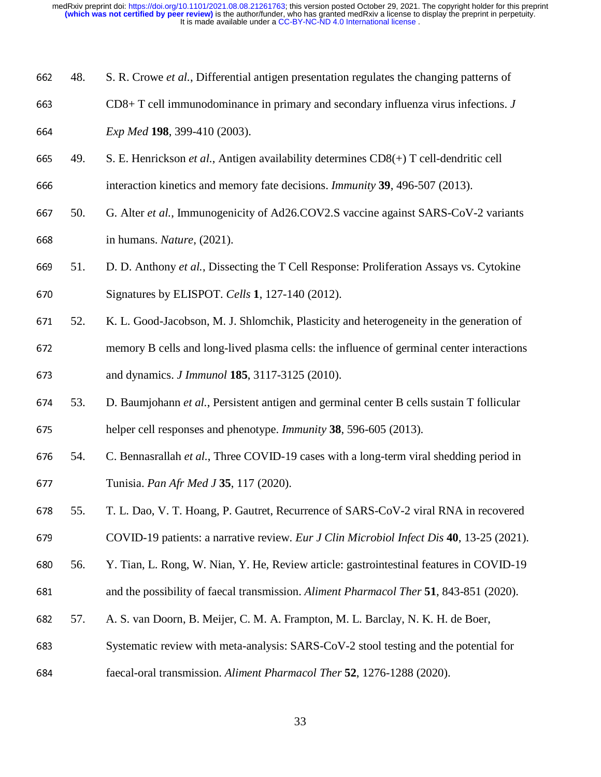- 48. S. R. Crowe *et al.*, Differential antigen presentation regulates the changing patterns of
- CD8+ T cell immunodominance in primary and secondary influenza virus infections. *<sup>J</sup>*
- *Exp Med* **<sup>198</sup>**, 399-410 (2003).
- 49. S. E. Henrickson *et al.*, Antigen availability determines CD8(+) T cell-dendritic cell
- interaction kinetics and memory fate decisions. *Immunity* **<sup>39</sup>**, 496-507 (2013).
- 50. G. Alter *et al.*, Immunogenicity of Ad26.COV2.S vaccine against SARS-CoV-2 variants in humans. *Nature*, (2021).
- 51. D. D. Anthony *et al.*, Dissecting the T Cell Response: Proliferation Assays vs. Cytokine 670 Signatures by ELISPOT. *Cells* **1**, 127-140 (2012).
- 52. K. L. Good-Jacobson, M. J. Shlomchik, Plasticity and heterogeneity in the generation of 672 memory B cells and long-lived plasma cells: the influence of germinal center interactions and dynamics. *J Immunol* **<sup>185</sup>**, 3117-3125 (2010).
- 53. D. Baumjohann *et al.*, Persistent antigen and germinal center B cells sustain T follicular helper cell responses and phenotype. *Immunity* **<sup>38</sup>**, 596-605 (2013).
- 54. C. Bennasrallah *et al.*, Three COVID-19 cases with a long-term viral shedding period in Tunisia. *Pan Afr Med J* **<sup>35</sup>**, 117 (2020).
- 55. T. L. Dao, V. T. Hoang, P. Gautret, Recurrence of SARS-CoV-2 viral RNA in recovered
- COVID-19 patients: a narrative review. *Eur J Clin Microbiol Infect Dis* **<sup>40</sup>**, 13-25 (2021).
- 56. Y. Tian, L. Rong, W. Nian, Y. He, Review article: gastrointestinal features in COVID-19
- and the possibility of faecal transmission. *Aliment Pharmacol Ther* **<sup>51</sup>**, 843-851 (2020).
- 57. A. S. van Doorn, B. Meijer, C. M. A. Frampton, M. L. Barclay, N. K. H. de Boer,
- 683 Systematic review with meta-analysis: SARS-CoV-2 stool testing and the potential for
- faecal-oral transmission. *Aliment Pharmacol Ther* **<sup>52</sup>**, 1276-1288 (2020).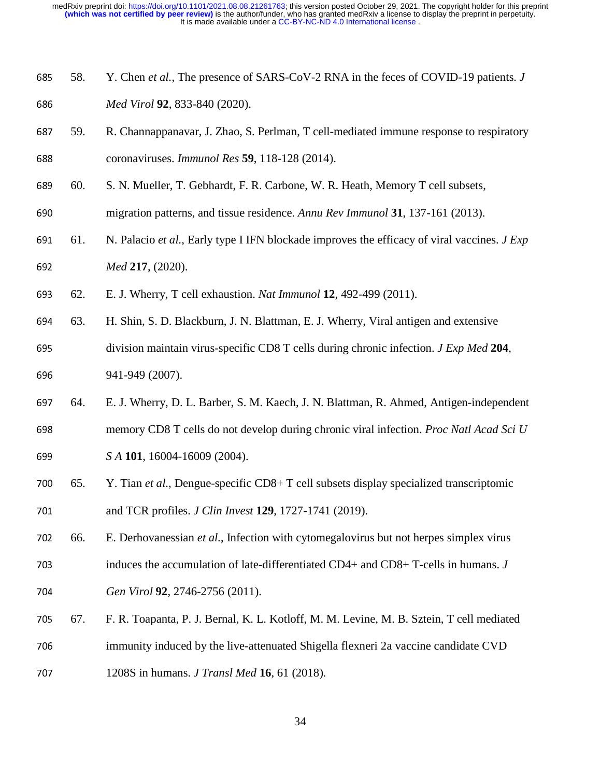- 58. Y. Chen *et al.*, The presence of SARS-CoV-2 RNA in the feces of COVID-19 patients. *<sup>J</sup> Med Virol* **<sup>92</sup>**, 833-840 (2020).
- 59. R. Channappanavar, J. Zhao, S. Perlman, T cell-mediated immune response to respiratory coronaviruses. *Immunol Res* **<sup>59</sup>**, 118-128 (2014).
- 60. S. N. Mueller, T. Gebhardt, F. R. Carbone, W. R. Heath, Memory T cell subsets,
- migration patterns, and tissue residence. *Annu Rev Immunol* **<sup>31</sup>**, 137-161 (2013).
- 61. N. Palacio *et al.*, Early type I IFN blockade improves the efficacy of viral vaccines. *J Exp Med* **<sup>217</sup>**, (2020).
- 62. E. J. Wherry, T cell exhaustion. *Nat Immunol* **<sup>12</sup>**, 492-499 (2011).
- 63. H. Shin, S. D. Blackburn, J. N. Blattman, E. J. Wherry, Viral antigen and extensive
- division maintain virus-specific CD8 T cells during chronic infection. *J Exp Med* **<sup>204</sup>**, 696 941-949 (2007).
- 64. E. J. Wherry, D. L. Barber, S. M. Kaech, J. N. Blattman, R. Ahmed, Antigen-independent memory CD8 T cells do not develop during chronic viral infection. *Proc Natl Acad Sci U*
- *S A* **<sup>101</sup>**, 16004-16009 (2004).
- 65. Y. Tian *et al.*, Dengue-specific CD8+ T cell subsets display specialized transcriptomic and TCR profiles. *J Clin Invest* **<sup>129</sup>**, 1727-1741 (2019).
- 66. E. Derhovanessian *et al.*, Infection with cytomegalovirus but not herpes simplex virus
- 703 induces the accumulation of late-differentiated CD4+ and CD8+ T-cells in humans. *J*
- *Gen Virol* **<sup>92</sup>**, 2746-2756 (2011).
- 67. F. R. Toapanta, P. J. Bernal, K. L. Kotloff, M. M. Levine, M. B. Sztein, T cell mediated
- 706 immunity induced by the live-attenuated Shigella flexneri 2a vaccine candidate CVD
- 1208S in humans. *J Transl Med* **<sup>16</sup>**, 61 (2018).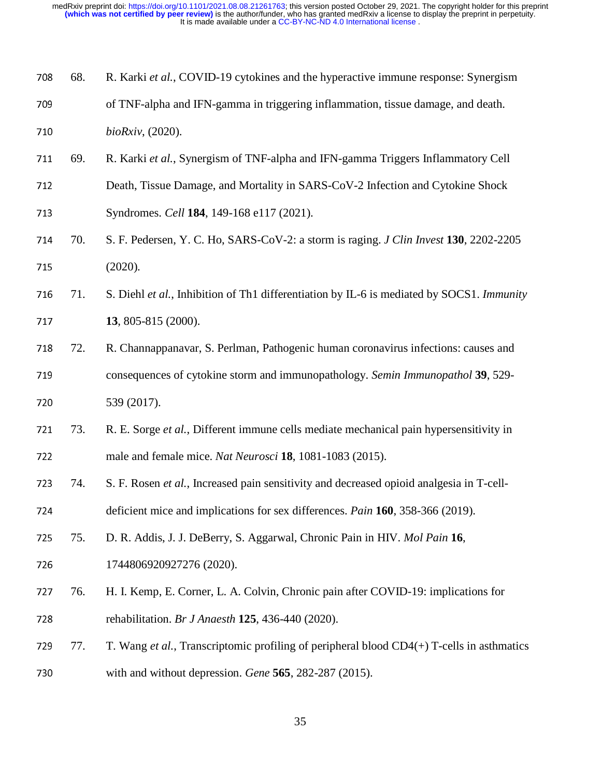| 708 | 68. | R. Karki et al., COVID-19 cytokines and the hyperactive immune response: Synergism                  |
|-----|-----|-----------------------------------------------------------------------------------------------------|
| 709 |     | of TNF-alpha and IFN-gamma in triggering inflammation, tissue damage, and death.                    |
| 710 |     | bioRxiv, (2020).                                                                                    |
| 711 | 69. | R. Karki et al., Synergism of TNF-alpha and IFN-gamma Triggers Inflammatory Cell                    |
| 712 |     | Death, Tissue Damage, and Mortality in SARS-CoV-2 Infection and Cytokine Shock                      |
| 713 |     | Syndromes. Cell 184, 149-168 e117 (2021).                                                           |
| 714 | 70. | S. F. Pedersen, Y. C. Ho, SARS-CoV-2: a storm is raging. <i>J Clin Invest</i> 130, 2202-2205        |
| 715 |     | (2020).                                                                                             |
| 716 | 71. | S. Diehl et al., Inhibition of Th1 differentiation by IL-6 is mediated by SOCS1. Immunity           |
| 717 |     | 13, 805-815 (2000).                                                                                 |
| 718 | 72. | R. Channappanavar, S. Perlman, Pathogenic human coronavirus infections: causes and                  |
| 719 |     | consequences of cytokine storm and immunopathology. Semin Immunopathol 39, 529-                     |
| 720 |     | 539 (2017).                                                                                         |
| 721 | 73. | R. E. Sorge et al., Different immune cells mediate mechanical pain hypersensitivity in              |
| 722 |     | male and female mice. Nat Neurosci 18, 1081-1083 (2015).                                            |
| 723 | 74. | S. F. Rosen et al., Increased pain sensitivity and decreased opioid analgesia in T-cell-            |
| 724 |     | deficient mice and implications for sex differences. <i>Pain</i> 160, 358-366 (2019).               |
| 725 | 75. | D. R. Addis, J. J. DeBerry, S. Aggarwal, Chronic Pain in HIV. Mol Pain 16,                          |
| 726 |     | 1744806920927276 (2020).                                                                            |
| 727 | 76. | H. I. Kemp, E. Corner, L. A. Colvin, Chronic pain after COVID-19: implications for                  |
| 728 |     | rehabilitation. Br J Anaesth 125, 436-440 (2020).                                                   |
| 729 | 77. | T. Wang <i>et al.</i> , Transcriptomic profiling of peripheral blood $CD4(+)$ T-cells in asthmatics |
| 730 |     | with and without depression. Gene $565$ , 282-287 (2015).                                           |
|     |     |                                                                                                     |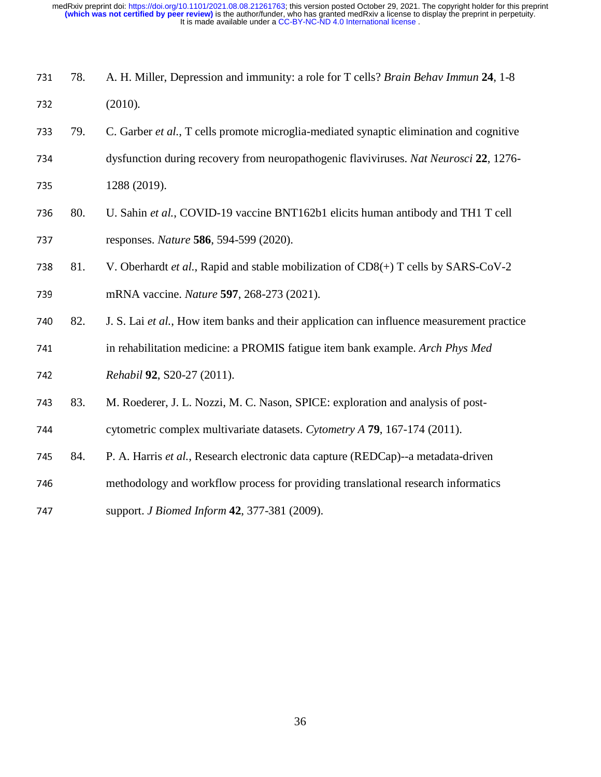- 78. A. H. Miller, Depression and immunity: a role for T cells? *Brain Behav Immun* **<sup>24</sup>**, 1-8 732 (2010).
- 79. C. Garber *et al.*, T cells promote microglia-mediated synaptic elimination and cognitive
- dysfunction during recovery from neuropathogenic flaviviruses. *Nat Neurosci* **<sup>22</sup>**, 1276-
- 735 1288 (2019).
- 80. U. Sahin *et al.*, COVID-19 vaccine BNT162b1 elicits human antibody and TH1 T cell responses. *Nature* **<sup>586</sup>**, 594-599 (2020).
- 738 81. V. Oberhardt *et al.*, Rapid and stable mobilization of CD8(+) T cells by SARS-CoV-2
- mRNA vaccine. *Nature* **<sup>597</sup>**, 268-273 (2021).
- 82. J. S. Lai *et al.*, How item banks and their application can influence measurement practice
- in rehabilitation medicine: a PROMIS fatigue item bank example. *Arch Phys Med Rehabil* **<sup>92</sup>**, S20-27 (2011).
- 83. M. Roederer, J. L. Nozzi, M. C. Nason, SPICE: exploration and analysis of post-
- cytometric complex multivariate datasets. *Cytometry A* **<sup>79</sup>**, 167-174 (2011).
- 84. P. A. Harris *et al.*, Research electronic data capture (REDCap)--a metadata-driven
- methodology and workflow process for providing translational research informatics
- support. *J Biomed Inform* **<sup>42</sup>**, 377-381 (2009).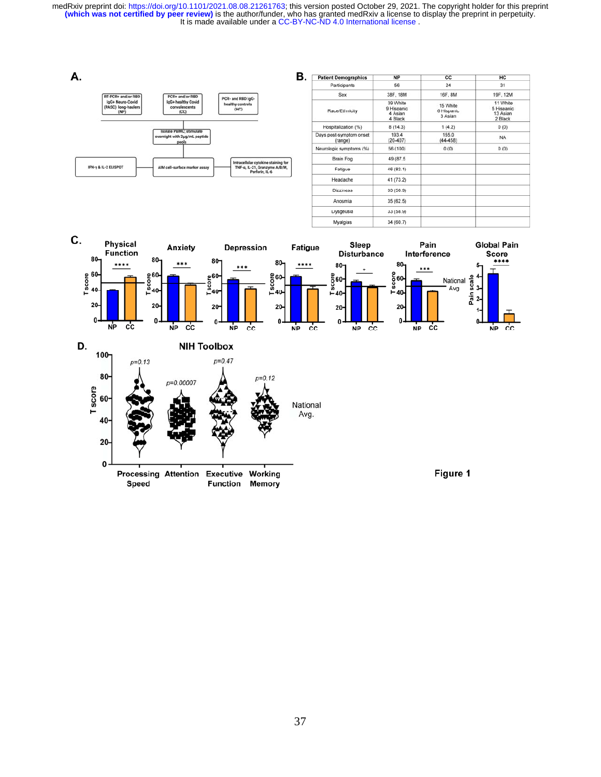| В.<br>А.                                                                                                                   | <b>Patient Demographics</b>        | <b>NP</b>                                    | CC                                | HC                                            |
|----------------------------------------------------------------------------------------------------------------------------|------------------------------------|----------------------------------------------|-----------------------------------|-----------------------------------------------|
|                                                                                                                            | Participants                       | 56                                           | 24                                | 31                                            |
| RT-PCR+ and/or RBD<br>PCR+ and/or RBD<br>PCR- and RBD IgG-                                                                 | Sex                                | 38F, 18M                                     | 16F, 8M                           | 19F, 12M                                      |
| IgG+ Neuro-Covid<br>IgG+ healthy Covid<br>healthy controls<br>(PASC) long-haulers<br>convalescents<br>(HC)<br>(CC)<br>(NP) | Race/Ethnicity                     | 39 White<br>9 Hispanic<br>4 Asian<br>4 Black | 15 White<br>6 Hispanic<br>3 Asian | 11 White<br>5 Hispanic<br>13 Asian<br>2 Black |
|                                                                                                                            | Hospitalization (%)                | 8(14.3)                                      | 1(4.2)                            | 0(0)                                          |
| <b>Isolate PBMC; stimulate</b><br>overnight with 2µg/mL peptide<br>pools                                                   | Days post-symptom onset<br>(range) | 193.4<br>$(20-407)$                          | 155.0<br>$(44 - 458)$             | <b>NA</b>                                     |
|                                                                                                                            | Neurologic symptoms (%)            | 56 (100)                                     | 0(0)                              | 0(0)                                          |
| Intracellular cytokine staining for                                                                                        | Brain Fog                          | 49 (87.5)                                    |                                   |                                               |
| IFN-y & IL-2 ELISPOT<br>TNF-a, IL-21, Granzyme A/B/M,<br>AIM cell-surface marker assay<br>Perforin, IL-6                   | Fatigue                            | 46 (82.1)                                    |                                   |                                               |
|                                                                                                                            | Headache                           | 41 (73.2)                                    |                                   |                                               |
|                                                                                                                            | <b>Dizziness</b>                   | 33 (58.9)                                    |                                   |                                               |
|                                                                                                                            | Anosmia                            | 35(62.5)                                     |                                   |                                               |
|                                                                                                                            | Dysgeusia                          | 33 (58.9)                                    |                                   |                                               |

34 (60.7)

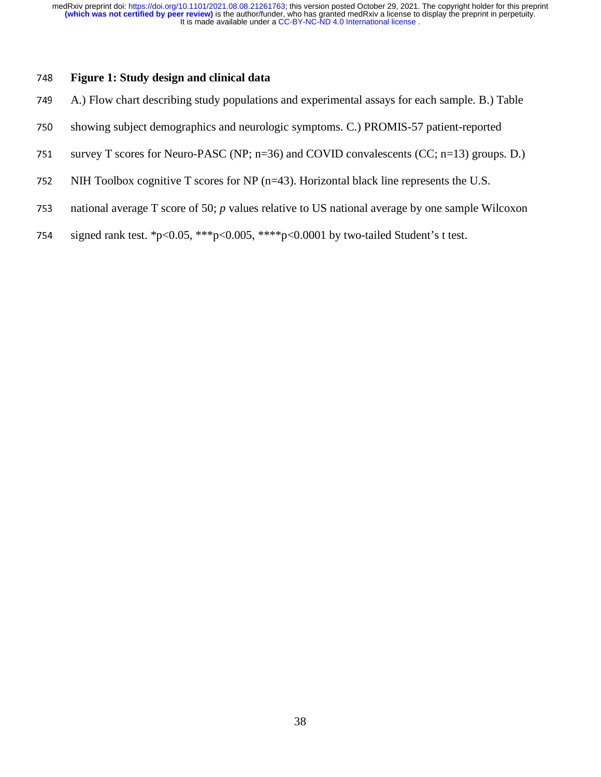## <sup>748</sup>**Figure 1: Study design and clinical data**

- 749 A.) Flow chart describing study populations and experimental assays for each sample. B.) Table
- 750 showing subject demographics and neurologic symptoms. C.) PROMIS-57 patient-reported
- 751 survey T scores for Neuro-PASC (NP;  $n=36$ ) and COVID convalescents (CC;  $n=13$ ) groups. D.)
- 752 NIH Toolbox cognitive T scores for NP (n=43). Horizontal black line represents the U.S.
- 753 national average T score of 50; *p* values relative to US national average by one sample Wilcoxon
- 754 signed rank test. \*p<0.05, \*\*\*p<0.005, \*\*\*\*p<0.0001 by two-tailed Student's t test.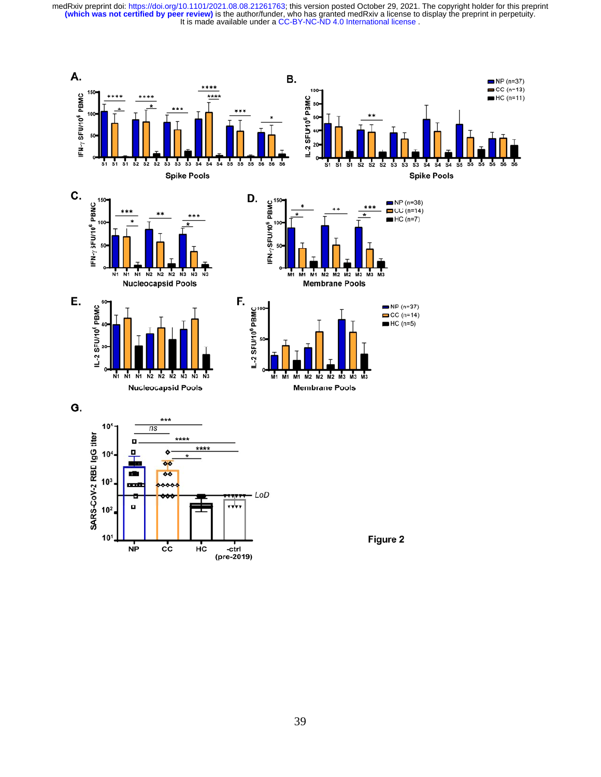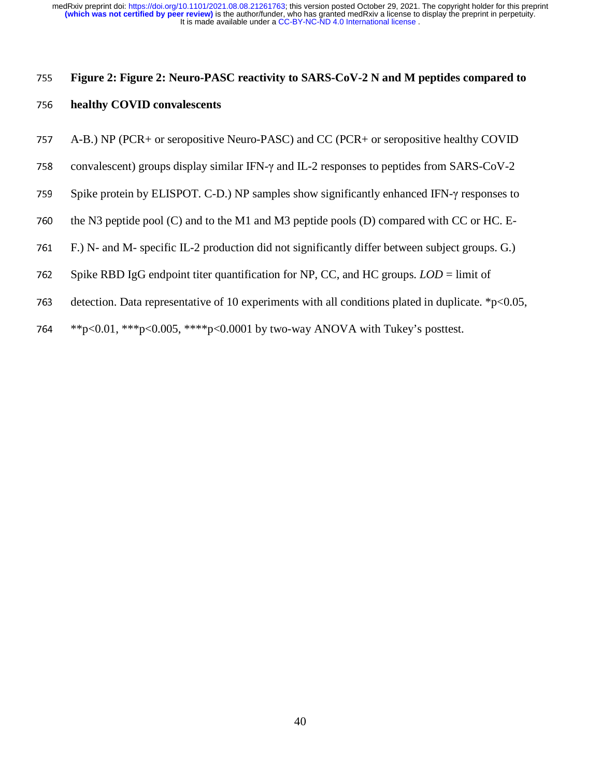# <sup>755</sup>**Figure 2: Figure 2: Neuro-PASC reactivity to SARS-CoV-2 N and M peptides compared to**

## <sup>756</sup>**healthy COVID convalescents**

- <sup>757</sup>A-B.) NP (PCR+ or seropositive Neuro-PASC) and CC (PCR+ or seropositive healthy COVID
- 758 convalescent) groups display similar IFN- $\gamma$  and IL-2 responses to peptides from SARS-CoV-2
- 759 Spike protein by ELISPOT. C-D.) NP samples show significantly enhanced IFN-γ responses to
- 760 the N3 peptide pool (C) and to the M1 and M3 peptide pools (D) compared with CC or HC. E-
- 761 F.) N- and M- specific IL-2 production did not significantly differ between subject groups. G.)
- 762 Spike RBD IgG endpoint titer quantification for NP, CC, and HC groups. *LOD* = limit of
- 763 detection. Data representative of 10 experiments with all conditions plated in duplicate.  $*p<0.05$ ,
- 764 \*\*p<0.01, \*\*\*p<0.005, \*\*\*\*p<0.0001 by two-way ANOVA with Tukey's posttest.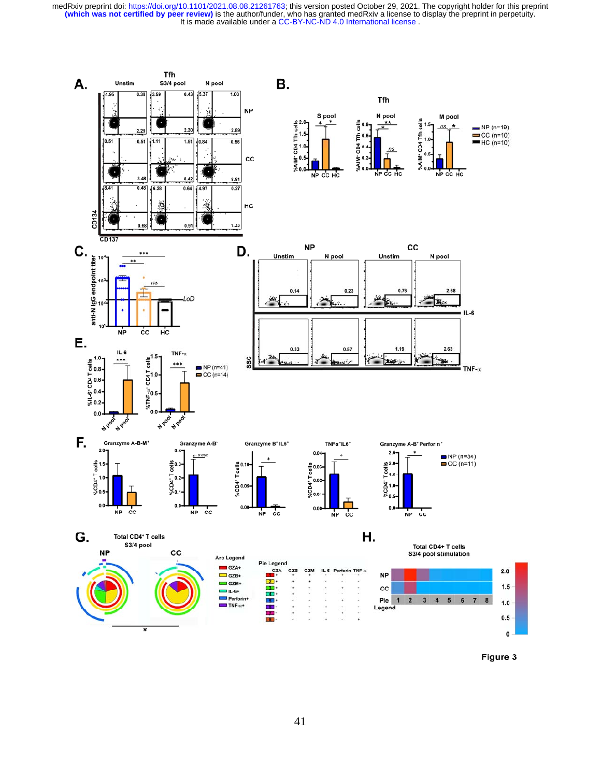

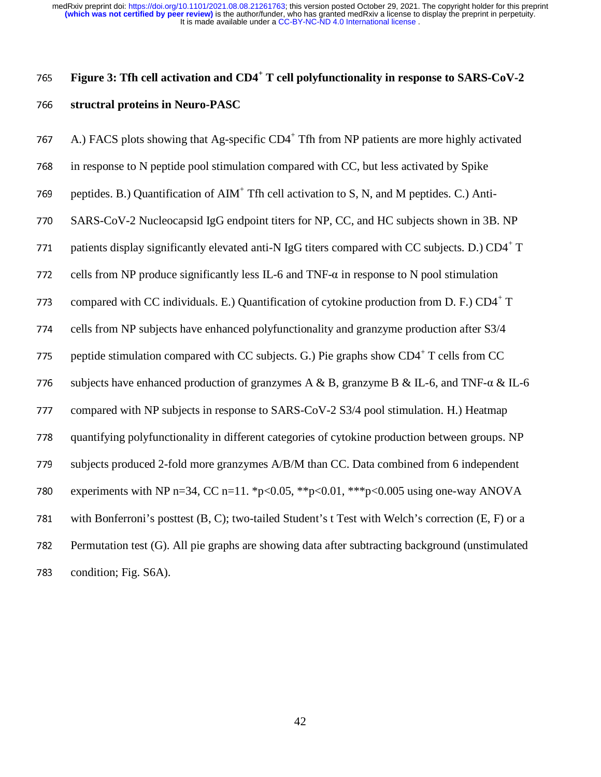## 765 Figure 3: Tfh cell activation and CD4<sup>+</sup> T cell polyfunctionality in response to SARS-CoV-2 **structral proteins in Neuro-PASC**

| 767 | A.) FACS plots showing that Ag-specific CD4 <sup>+</sup> Tfh from NP patients are more highly activated |
|-----|---------------------------------------------------------------------------------------------------------|
| 768 | in response to N peptide pool stimulation compared with CC, but less activated by Spike                 |
| 769 | peptides. B.) Quantification of AIM <sup>+</sup> Tfh cell activation to S, N, and M peptides. C.) Anti- |
| 770 | SARS-CoV-2 Nucleocapsid IgG endpoint titers for NP, CC, and HC subjects shown in 3B. NP                 |
| 771 | patients display significantly elevated anti-N IgG titers compared with CC subjects. D.) CD4+T          |
| 772 | cells from NP produce significantly less IL-6 and TNF- $\alpha$ in response to N pool stimulation       |
| 773 | compared with CC individuals. E.) Quantification of cytokine production from D. F.) $CD4^+$ T           |
| 774 | cells from NP subjects have enhanced polyfunctionality and granzyme production after S3/4               |
| 775 | peptide stimulation compared with CC subjects. G.) Pie graphs show CD4 <sup>+</sup> T cells from CC     |
| 776 | subjects have enhanced production of granzymes A & B, granzyme B & IL-6, and TNF- $\alpha$ & IL-6       |
| 777 | compared with NP subjects in response to SARS-CoV-2 S3/4 pool stimulation. H.) Heatmap                  |
| 778 | quantifying polyfunctionality in different categories of cytokine production between groups. NP         |
| 779 | subjects produced 2-fold more granzymes A/B/M than CC. Data combined from 6 independent                 |
| 780 | experiments with NP n=34, CC n=11. *p<0.05, **p<0.01, ***p<0.005 using one-way ANOVA                    |
| 781 | with Bonferroni's posttest (B, C); two-tailed Student's t Test with Welch's correction (E, F) or a      |
| 782 | Permutation test (G). All pie graphs are showing data after subtracting background (unstimulated        |
| 783 | condition; Fig. S6A).                                                                                   |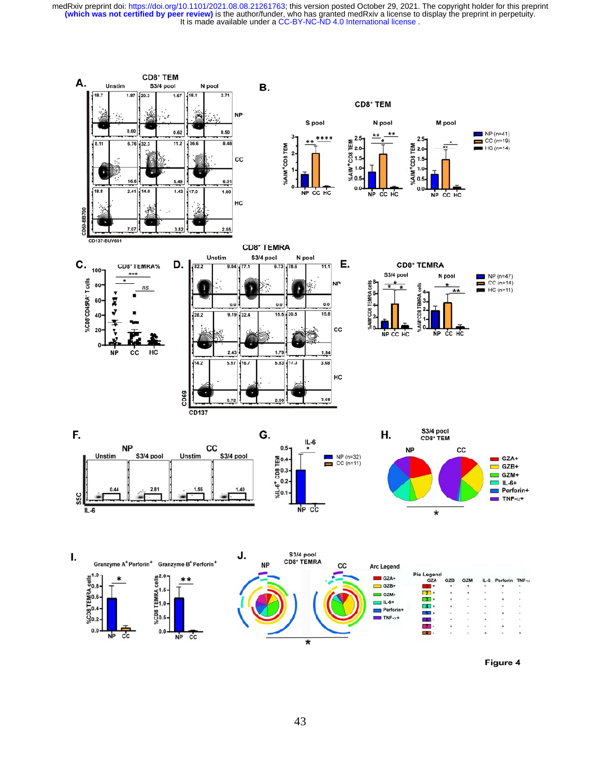

Figure 4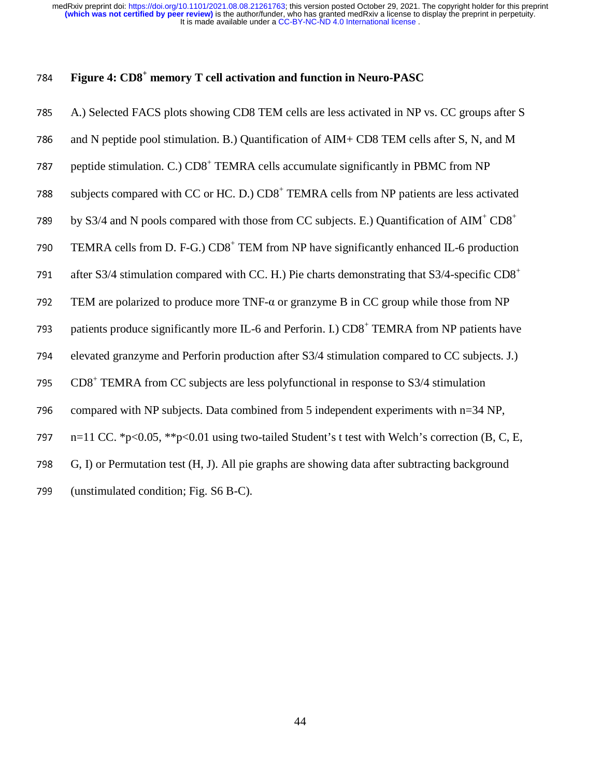## 784 **Figure 4: CD8<sup>+</sup> memory T cell activation and function in Neuro-PASC**

| 785 | A.) Selected FACS plots showing CD8 TEM cells are less activated in NP vs. CC groups after S                      |
|-----|-------------------------------------------------------------------------------------------------------------------|
| 786 | and N peptide pool stimulation. B.) Quantification of AIM+ CD8 TEM cells after S, N, and M                        |
| 787 | peptide stimulation. C.) CD8 <sup>+</sup> TEMRA cells accumulate significantly in PBMC from NP                    |
| 788 | subjects compared with CC or HC. D.) CD8 <sup>+</sup> TEMRA cells from NP patients are less activated             |
| 789 | by S3/4 and N pools compared with those from CC subjects. E.) Quantification of AIM <sup>+</sup> CD8 <sup>+</sup> |
| 790 | TEMRA cells from D. F-G.) CD8 <sup>+</sup> TEM from NP have significantly enhanced IL-6 production                |
| 791 | after S3/4 stimulation compared with CC. H.) Pie charts demonstrating that S3/4-specific $CD8+$                   |
| 792 | TEM are polarized to produce more TNF- $\alpha$ or granzyme B in CC group while those from NP                     |
| 793 | patients produce significantly more IL-6 and Perforin. I.) CD8 <sup>+</sup> TEMRA from NP patients have           |
| 794 | elevated granzyme and Perforin production after S3/4 stimulation compared to CC subjects. J.)                     |
| 795 | $CD8+$ TEMRA from CC subjects are less polyfunctional in response to S3/4 stimulation                             |
| 796 | compared with NP subjects. Data combined from 5 independent experiments with n=34 NP,                             |
| 797 | n=11 CC. *p<0.05, **p<0.01 using two-tailed Student's t test with Welch's correction (B, C, E,                    |
| 798 | G, I) or Permutation test (H, J). All pie graphs are showing data after subtracting background                    |
| 799 | (unstimulated condition; Fig. S6 B-C).                                                                            |
|     |                                                                                                                   |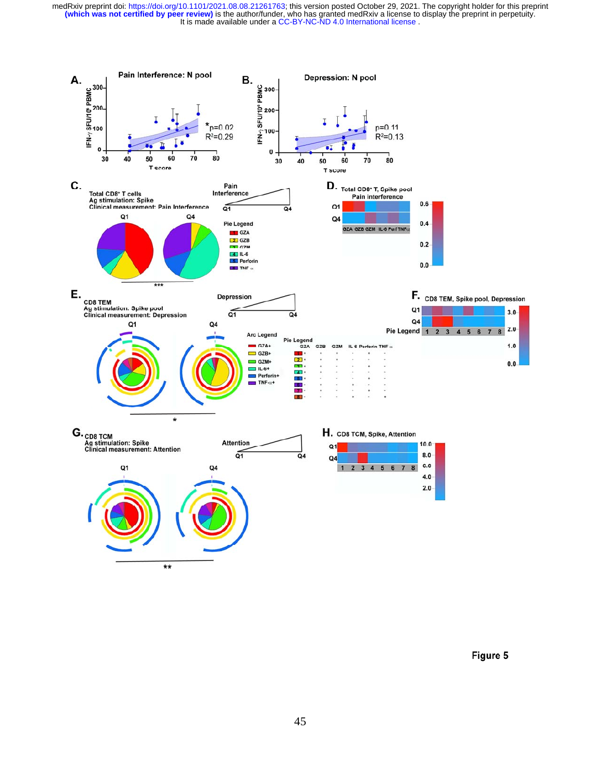

Figure 5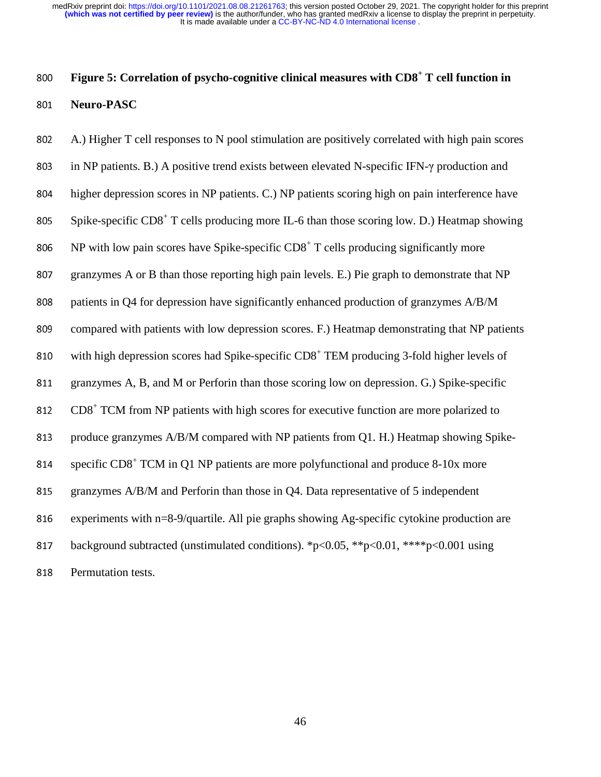## **Figure 5: Correlation of psycho-cognitive clinical measures with CD8<sup>+</sup> T cell function in** <sup>801</sup>**Neuro-PASC**

<sup>802</sup>A.) Higher T cell responses to N pool stimulation are positively correlated with high pain scores 803 in NP patients. B.) A positive trend exists between elevated N-specific IFN- $\gamma$  production and 804 higher depression scores in NP patients. C.) NP patients scoring high on pain interference have 805 Spike-specific  $CD8^+$  T cells producing more IL-6 than those scoring low. D.) Heatmap showing 806 NP with low pain scores have Spike-specific  $CD8<sup>+</sup>$  T cells producing significantly more 807 granzymes A or B than those reporting high pain levels. E.) Pie graph to demonstrate that NP 808 patients in Q4 for depression have significantly enhanced production of granzymes A/B/M 809 compared with patients with low depression scores. F.) Heatmap demonstrating that NP patients 810 with high depression scores had Spike-specific  $CD8<sup>+</sup>$  TEM producing 3-fold higher levels of 811 granzymes A, B, and M or Perforin than those scoring low on depression. G.) Spike-specific  $812$  CD8<sup>+</sup> TCM from NP patients with high scores for executive function are more polarized to 813 produce granzymes A/B/M compared with NP patients from Q1. H.) Heatmap showing Spikespecific  $CDS<sup>+</sup> TCM$  in Q1 NP patients are more polyfunctional and produce 8-10x more 815 granzymes A/B/M and Perforin than those in Q4. Data representative of 5 independent 816 experiments with n=8-9/quartile. All pie graphs showing Ag-specific cytokine production are 817 background subtracted (unstimulated conditions). \*p<0.05, \*\*p<0.01, \*\*\*\*p<0.001 using 818 Permutation tests.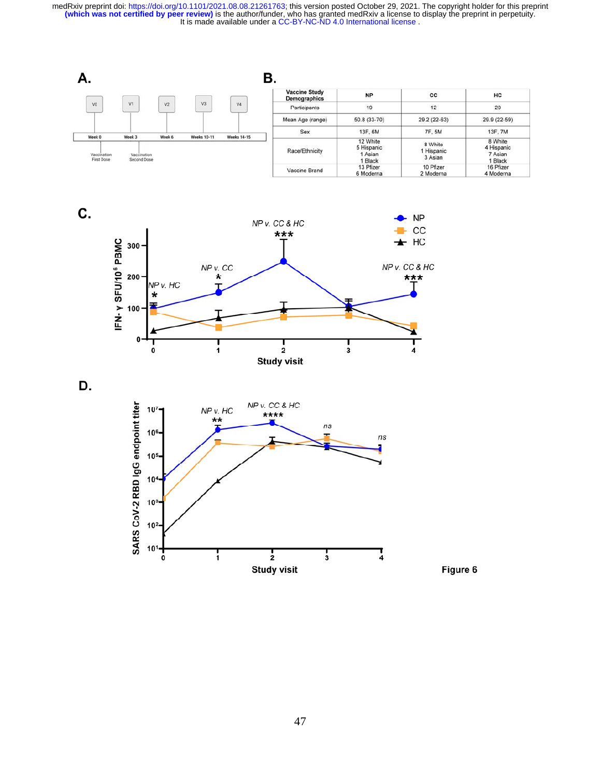



D.